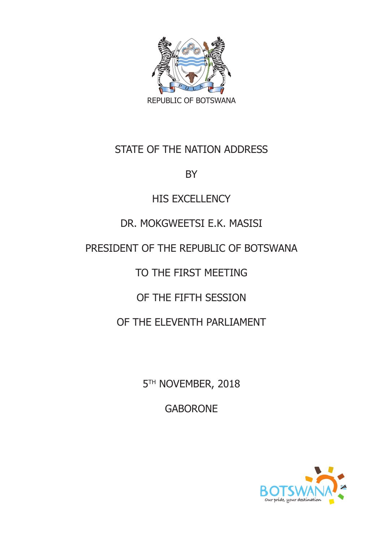

#### STATE OF THE NATION ADDRESS

BY

#### **HIS EXCELLENCY**

#### DR. MOKGWEETSI E.K. MASISI

#### PRESIDENT OF THE REPUBLIC OF BOTSWANA

# TO THE FIRST MEETING

# OF THE FIFTH SESSION

## OF THE ELEVENTH PARLIAMENT

5<sup>TH</sup> NOVEMBER, 2018

GABORONE

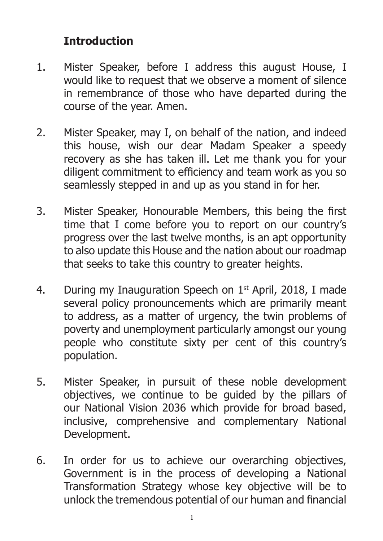#### **Introduction**

- 1. Mister Speaker, before I address this august House, I would like to request that we observe a moment of silence in remembrance of those who have departed during the course of the year. Amen.
- 2. Mister Speaker, may I, on behalf of the nation, and indeed this house, wish our dear Madam Speaker a speedy recovery as she has taken ill. Let me thank you for your diligent commitment to efficiency and team work as you so seamlessly stepped in and up as you stand in for her.
- 3. Mister Speaker, Honourable Members, this being the first time that I come before you to report on our country's progress over the last twelve months, is an apt opportunity to also update this House and the nation about our roadmap that seeks to take this country to greater heights.
- 4. During my Inauguration Speech on  $1<sup>st</sup>$  April, 2018, I made several policy pronouncements which are primarily meant to address, as a matter of urgency, the twin problems of poverty and unemployment particularly amongst our young people who constitute sixty per cent of this country's population.
- 5. Mister Speaker, in pursuit of these noble development objectives, we continue to be guided by the pillars of our National Vision 2036 which provide for broad based, inclusive, comprehensive and complementary National Development.
- 6. In order for us to achieve our overarching objectives, Government is in the process of developing a National Transformation Strategy whose key objective will be to unlock the tremendous potential of our human and financial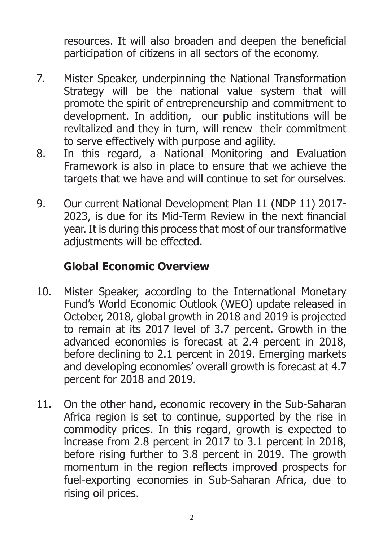resources. It will also broaden and deepen the beneficial participation of citizens in all sectors of the economy.

- 7. Mister Speaker, underpinning the National Transformation Strategy will be the national value system that will promote the spirit of entrepreneurship and commitment to development. In addition, our public institutions will be revitalized and they in turn, will renew their commitment to serve effectively with purpose and agility.
- 8. In this regard, a National Monitoring and Evaluation Framework is also in place to ensure that we achieve the targets that we have and will continue to set for ourselves.
- 9. Our current National Development Plan 11 (NDP 11) 2017- 2023, is due for its Mid-Term Review in the next financial year. It is during this process that most of our transformative adjustments will be effected.

## **Global Economic Overview**

- 10. Mister Speaker, according to the International Monetary Fund's World Economic Outlook (WEO) update released in October, 2018, global growth in 2018 and 2019 is projected to remain at its 2017 level of 3.7 percent. Growth in the advanced economies is forecast at 2.4 percent in 2018, before declining to 2.1 percent in 2019. Emerging markets and developing economies' overall growth is forecast at 4.7 percent for 2018 and 2019.
- 11. On the other hand, economic recovery in the Sub-Saharan Africa region is set to continue, supported by the rise in commodity prices. In this regard, growth is expected to increase from 2.8 percent in 2017 to 3.1 percent in 2018, before rising further to 3.8 percent in 2019. The growth momentum in the region reflects improved prospects for fuel-exporting economies in Sub-Saharan Africa, due to rising oil prices.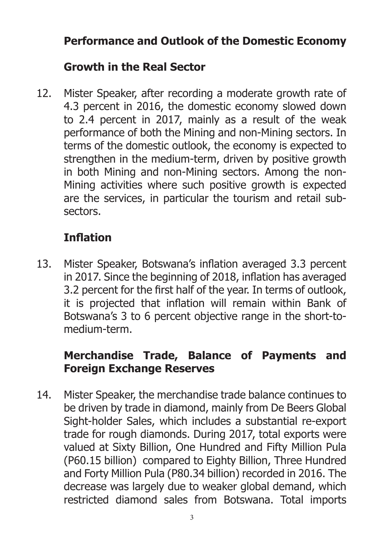## **Performance and Outlook of the Domestic Economy**

## **Growth in the Real Sector**

12. Mister Speaker, after recording a moderate growth rate of 4.3 percent in 2016, the domestic economy slowed down to 2.4 percent in 2017, mainly as a result of the weak performance of both the Mining and non-Mining sectors. In terms of the domestic outlook, the economy is expected to strengthen in the medium-term, driven by positive growth in both Mining and non-Mining sectors. Among the non-Mining activities where such positive growth is expected are the services, in particular the tourism and retail subsectors.

# **Inflation**

13. Mister Speaker, Botswana's inflation averaged 3.3 percent in 2017. Since the beginning of 2018, inflation has averaged 3.2 percent for the first half of the year. In terms of outlook, it is projected that inflation will remain within Bank of Botswana's 3 to 6 percent objective range in the short-tomedium-term.

### **Merchandise Trade, Balance of Payments and Foreign Exchange Reserves**

14. Mister Speaker, the merchandise trade balance continues to be driven by trade in diamond, mainly from De Beers Global Sight-holder Sales, which includes a substantial re-export trade for rough diamonds. During 2017, total exports were valued at Sixty Billion, One Hundred and Fifty Million Pula (P60.15 billion) compared to Eighty Billion, Three Hundred and Forty Million Pula (P80.34 billion) recorded in 2016. The decrease was largely due to weaker global demand, which restricted diamond sales from Botswana. Total imports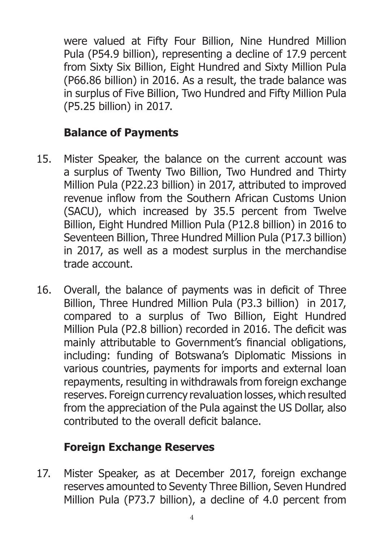were valued at Fifty Four Billion, Nine Hundred Million Pula (P54.9 billion), representing a decline of 17.9 percent from Sixty Six Billion, Eight Hundred and Sixty Million Pula (P66.86 billion) in 2016. As a result, the trade balance was in surplus of Five Billion, Two Hundred and Fifty Million Pula (P5.25 billion) in 2017.

## **Balance of Payments**

- 15. Mister Speaker, the balance on the current account was a surplus of Twenty Two Billion, Two Hundred and Thirty Million Pula (P22.23 billion) in 2017, attributed to improved revenue inflow from the Southern African Customs Union (SACU), which increased by 35.5 percent from Twelve Billion, Eight Hundred Million Pula (P12.8 billion) in 2016 to Seventeen Billion, Three Hundred Million Pula (P17.3 billion) in 2017, as well as a modest surplus in the merchandise trade account.
- 16. Overall, the balance of payments was in deficit of Three Billion, Three Hundred Million Pula (P3.3 billion) in 2017, compared to a surplus of Two Billion, Eight Hundred Million Pula (P2.8 billion) recorded in 2016. The deficit was mainly attributable to Government's financial obligations, including: funding of Botswana's Diplomatic Missions in various countries, payments for imports and external loan repayments, resulting in withdrawals from foreign exchange reserves. Foreign currency revaluation losses, which resulted from the appreciation of the Pula against the US Dollar, also contributed to the overall deficit balance.

# **Foreign Exchange Reserves**

17. Mister Speaker, as at December 2017, foreign exchange reserves amounted to Seventy Three Billion, Seven Hundred Million Pula (P73.7 billion), a decline of 4.0 percent from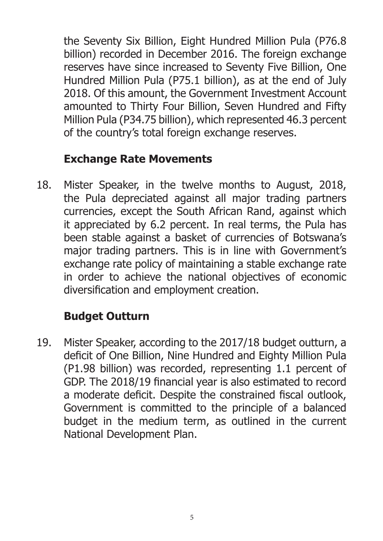the Seventy Six Billion, Eight Hundred Million Pula (P76.8 billion) recorded in December 2016. The foreign exchange reserves have since increased to Seventy Five Billion, One Hundred Million Pula (P75.1 billion), as at the end of July 2018. Of this amount, the Government Investment Account amounted to Thirty Four Billion, Seven Hundred and Fifty Million Pula (P34.75 billion), which represented 46.3 percent of the country's total foreign exchange reserves.

### **Exchange Rate Movements**

18. Mister Speaker, in the twelve months to August, 2018, the Pula depreciated against all major trading partners currencies, except the South African Rand, against which it appreciated by 6.2 percent. In real terms, the Pula has been stable against a basket of currencies of Botswana's major trading partners. This is in line with Government's exchange rate policy of maintaining a stable exchange rate in order to achieve the national objectives of economic diversification and employment creation.

# **Budget Outturn**

19. Mister Speaker, according to the 2017/18 budget outturn, a deficit of One Billion, Nine Hundred and Eighty Million Pula (P1.98 billion) was recorded, representing 1.1 percent of GDP. The 2018/19 financial year is also estimated to record a moderate deficit. Despite the constrained fiscal outlook, Government is committed to the principle of a balanced budget in the medium term, as outlined in the current National Development Plan.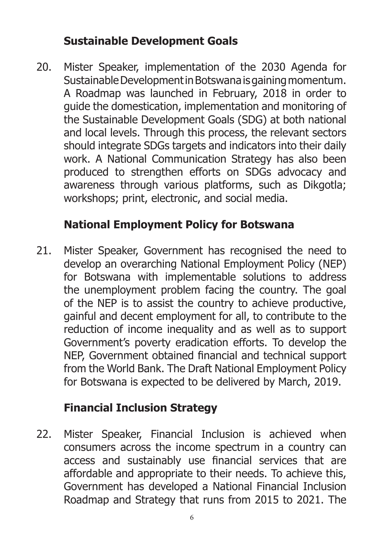### **Sustainable Development Goals**

20. Mister Speaker, implementation of the 2030 Agenda for Sustainable Development in Botswana is gaining momentum. A Roadmap was launched in February, 2018 in order to guide the domestication, implementation and monitoring of the Sustainable Development Goals (SDG) at both national and local levels. Through this process, the relevant sectors should integrate SDGs targets and indicators into their daily work. A National Communication Strategy has also been produced to strengthen efforts on SDGs advocacy and awareness through various platforms, such as Dikgotla; workshops; print, electronic, and social media.

# **National Employment Policy for Botswana**

21. Mister Speaker, Government has recognised the need to develop an overarching National Employment Policy (NEP) for Botswana with implementable solutions to address the unemployment problem facing the country. The goal of the NEP is to assist the country to achieve productive, gainful and decent employment for all, to contribute to the reduction of income inequality and as well as to support Government's poverty eradication efforts. To develop the NEP, Government obtained financial and technical support from the World Bank. The Draft National Employment Policy for Botswana is expected to be delivered by March, 2019.

## **Financial Inclusion Strategy**

22. Mister Speaker, Financial Inclusion is achieved when consumers across the income spectrum in a country can access and sustainably use financial services that are affordable and appropriate to their needs. To achieve this, Government has developed a National Financial Inclusion Roadmap and Strategy that runs from 2015 to 2021. The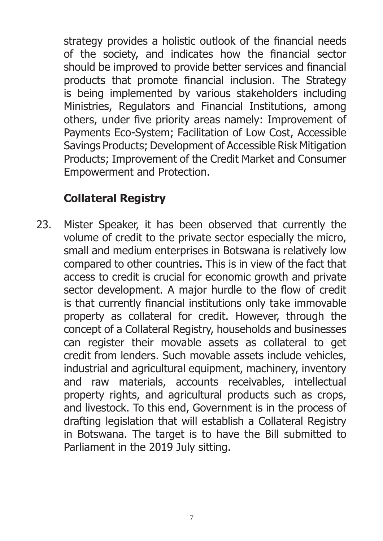strategy provides a holistic outlook of the financial needs of the society, and indicates how the financial sector should be improved to provide better services and financial products that promote financial inclusion. The Strategy is being implemented by various stakeholders including Ministries, Regulators and Financial Institutions, among others, under five priority areas namely: Improvement of Payments Eco-System; Facilitation of Low Cost, Accessible Savings Products; Development of Accessible Risk Mitigation Products; Improvement of the Credit Market and Consumer Empowerment and Protection.

### **Collateral Registry**

23. Mister Speaker, it has been observed that currently the volume of credit to the private sector especially the micro, small and medium enterprises in Botswana is relatively low compared to other countries. This is in view of the fact that access to credit is crucial for economic growth and private sector development. A major hurdle to the flow of credit is that currently financial institutions only take immovable property as collateral for credit. However, through the concept of a Collateral Registry, households and businesses can register their movable assets as collateral to get credit from lenders. Such movable assets include vehicles, industrial and agricultural equipment, machinery, inventory and raw materials, accounts receivables, intellectual property rights, and agricultural products such as crops, and livestock. To this end, Government is in the process of drafting legislation that will establish a Collateral Registry in Botswana. The target is to have the Bill submitted to Parliament in the 2019 July sitting.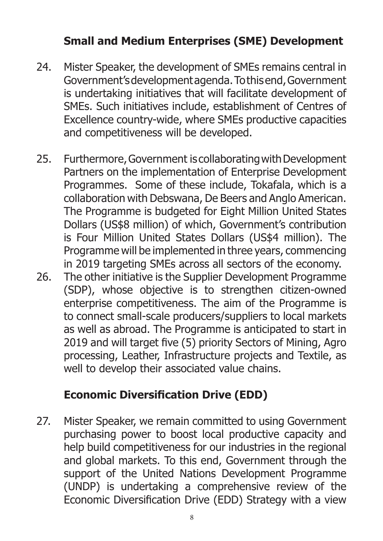## **Small and Medium Enterprises (SME) Development**

- 24. Mister Speaker, the development of SMEs remains central in Government's development agenda. To this end, Government is undertaking initiatives that will facilitate development of SMEs. Such initiatives include, establishment of Centres of Excellence country-wide, where SMEs productive capacities and competitiveness will be developed.
- 25. Furthermore, Government is collaborating with Development Partners on the implementation of Enterprise Development Programmes. Some of these include, Tokafala, which is a collaboration with Debswana, De Beers and Anglo American. The Programme is budgeted for Eight Million United States Dollars (US\$8 million) of which, Government's contribution is Four Million United States Dollars (US\$4 million). The Programme will be implemented in three years, commencing in 2019 targeting SMEs across all sectors of the economy.
- 26. The other initiative is the Supplier Development Programme (SDP), whose objective is to strengthen citizen-owned enterprise competitiveness. The aim of the Programme is to connect small-scale producers/suppliers to local markets as well as abroad. The Programme is anticipated to start in 2019 and will target five (5) priority Sectors of Mining, Agro processing, Leather, Infrastructure projects and Textile, as well to develop their associated value chains.

## **Economic Diversification Drive (EDD)**

27. Mister Speaker, we remain committed to using Government purchasing power to boost local productive capacity and help build competitiveness for our industries in the regional and global markets. To this end, Government through the support of the United Nations Development Programme (UNDP) is undertaking a comprehensive review of the Economic Diversification Drive (EDD) Strategy with a view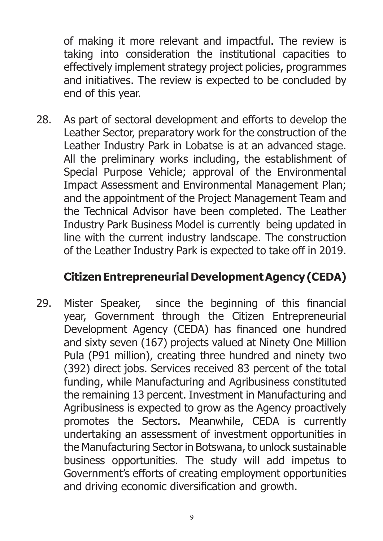of making it more relevant and impactful. The review is taking into consideration the institutional capacities to effectively implement strategy project policies, programmes and initiatives. The review is expected to be concluded by end of this year.

28. As part of sectoral development and efforts to develop the Leather Sector, preparatory work for the construction of the Leather Industry Park in Lobatse is at an advanced stage. All the preliminary works including, the establishment of Special Purpose Vehicle; approval of the Environmental Impact Assessment and Environmental Management Plan; and the appointment of the Project Management Team and the Technical Advisor have been completed. The Leather Industry Park Business Model is currently being updated in line with the current industry landscape. The construction of the Leather Industry Park is expected to take off in 2019.

#### **Citizen Entrepreneurial Development Agency (CEDA)**

29. Mister Speaker, since the beginning of this financial year, Government through the Citizen Entrepreneurial Development Agency (CEDA) has financed one hundred and sixty seven (167) projects valued at Ninety One Million Pula (P91 million), creating three hundred and ninety two (392) direct jobs. Services received 83 percent of the total funding, while Manufacturing and Agribusiness constituted the remaining 13 percent. Investment in Manufacturing and Agribusiness is expected to grow as the Agency proactively promotes the Sectors. Meanwhile, CEDA is currently undertaking an assessment of investment opportunities in the Manufacturing Sector in Botswana, to unlock sustainable business opportunities. The study will add impetus to Government's efforts of creating employment opportunities and driving economic diversification and growth.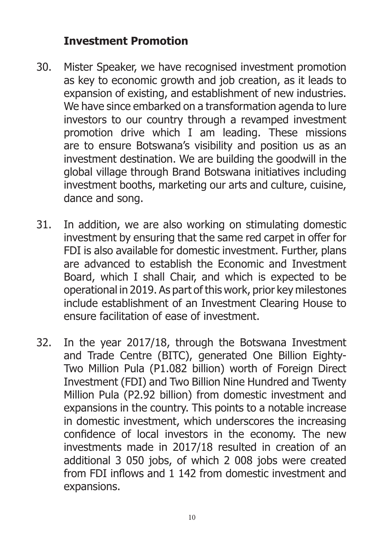#### **Investment Promotion**

- 30. Mister Speaker, we have recognised investment promotion as key to economic growth and job creation, as it leads to expansion of existing, and establishment of new industries. We have since embarked on a transformation agenda to lure investors to our country through a revamped investment promotion drive which I am leading. These missions are to ensure Botswana's visibility and position us as an investment destination. We are building the goodwill in the global village through Brand Botswana initiatives including investment booths, marketing our arts and culture, cuisine, dance and song.
- 31. In addition, we are also working on stimulating domestic investment by ensuring that the same red carpet in offer for FDI is also available for domestic investment. Further, plans are advanced to establish the Economic and Investment Board, which I shall Chair, and which is expected to be operational in 2019. As part of this work, prior key milestones include establishment of an Investment Clearing House to ensure facilitation of ease of investment.
- 32. In the year 2017/18, through the Botswana Investment and Trade Centre (BITC), generated One Billion Eighty-Two Million Pula (P1.082 billion) worth of Foreign Direct Investment (FDI) and Two Billion Nine Hundred and Twenty Million Pula (P2.92 billion) from domestic investment and expansions in the country. This points to a notable increase in domestic investment, which underscores the increasing confidence of local investors in the economy. The new investments made in 2017/18 resulted in creation of an additional 3 050 jobs, of which 2 008 jobs were created from FDI inflows and 1 142 from domestic investment and expansions.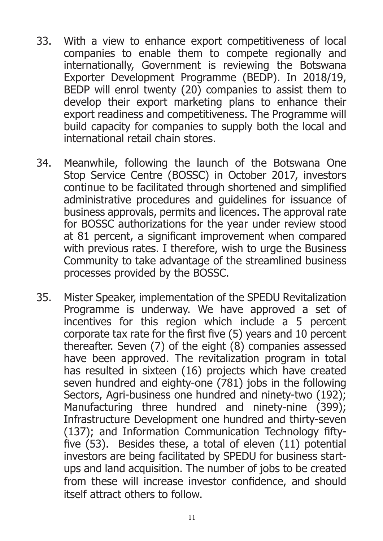- 33. With a view to enhance export competitiveness of local companies to enable them to compete regionally and internationally, Government is reviewing the Botswana Exporter Development Programme (BEDP). In 2018/19, BEDP will enrol twenty (20) companies to assist them to develop their export marketing plans to enhance their export readiness and competitiveness. The Programme will build capacity for companies to supply both the local and international retail chain stores.
- 34. Meanwhile, following the launch of the Botswana One Stop Service Centre (BOSSC) in October 2017, investors continue to be facilitated through shortened and simplified administrative procedures and guidelines for issuance of business approvals, permits and licences. The approval rate for BOSSC authorizations for the year under review stood at 81 percent, a significant improvement when compared with previous rates. I therefore, wish to urge the Business Community to take advantage of the streamlined business processes provided by the BOSSC.
- 35. Mister Speaker, implementation of the SPEDU Revitalization Programme is underway. We have approved a set of incentives for this region which include a 5 percent corporate tax rate for the first five (5) years and 10 percent thereafter. Seven (7) of the eight (8) companies assessed have been approved. The revitalization program in total has resulted in sixteen (16) projects which have created seven hundred and eighty-one (781) jobs in the following Sectors, Agri-business one hundred and ninety-two (192); Manufacturing three hundred and ninety-nine (399); Infrastructure Development one hundred and thirty-seven (137); and Information Communication Technology fiftyfive (53). Besides these, a total of eleven (11) potential investors are being facilitated by SPEDU for business startups and land acquisition. The number of jobs to be created from these will increase investor confidence, and should itself attract others to follow.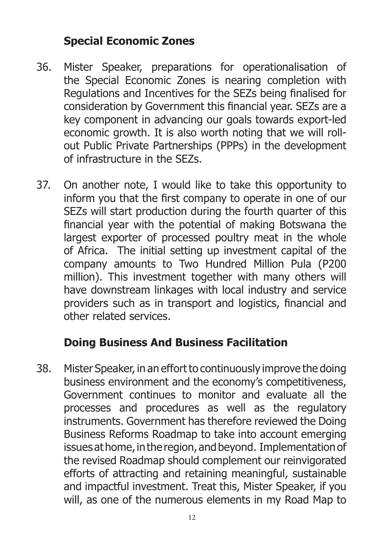#### **Special Economic Zones**

- 36. Mister Speaker, preparations for operationalisation of the Special Economic Zones is nearing completion with Regulations and Incentives for the SEZs being finalised for consideration by Government this financial year. SEZs are a key component in advancing our goals towards export-led economic growth. It is also worth noting that we will rollout Public Private Partnerships (PPPs) in the development of infrastructure in the SEZs.
- 37. On another note, I would like to take this opportunity to inform you that the first company to operate in one of our SEZs will start production during the fourth quarter of this financial year with the potential of making Botswana the largest exporter of processed poultry meat in the whole of Africa. The initial setting up investment capital of the company amounts to Two Hundred Million Pula (P200 million). This investment together with many others will have downstream linkages with local industry and service providers such as in transport and logistics, financial and other related services.

## **Doing Business And Business Facilitation**

38. Mister Speaker, in an effort to continuously improve the doing business environment and the economy's competitiveness, Government continues to monitor and evaluate all the processes and procedures as well as the regulatory instruments. Government has therefore reviewed the Doing Business Reforms Roadmap to take into account emerging issues at home, in the region, and beyond. Implementation of the revised Roadmap should complement our reinvigorated efforts of attracting and retaining meaningful, sustainable and impactful investment. Treat this, Mister Speaker, if you will, as one of the numerous elements in my Road Map to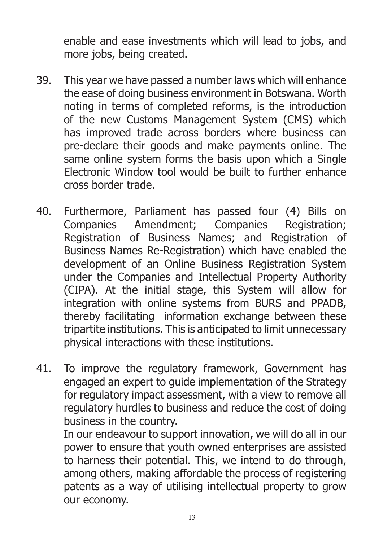enable and ease investments which will lead to jobs, and more jobs, being created.

- 39. This year we have passed a number laws which will enhance the ease of doing business environment in Botswana. Worth noting in terms of completed reforms, is the introduction of the new Customs Management System (CMS) which has improved trade across borders where business can pre-declare their goods and make payments online. The same online system forms the basis upon which a Single Electronic Window tool would be built to further enhance cross border trade.
- 40. Furthermore, Parliament has passed four (4) Bills on Companies Amendment; Companies Registration; Registration of Business Names; and Registration of Business Names Re-Registration) which have enabled the development of an Online Business Registration System under the Companies and Intellectual Property Authority (CIPA). At the initial stage, this System will allow for integration with online systems from BURS and PPADB, thereby facilitating information exchange between these tripartite institutions. This is anticipated to limit unnecessary physical interactions with these institutions.
- 41. To improve the regulatory framework, Government has engaged an expert to guide implementation of the Strategy for regulatory impact assessment, with a view to remove all regulatory hurdles to business and reduce the cost of doing business in the country.

In our endeavour to support innovation, we will do all in our power to ensure that youth owned enterprises are assisted to harness their potential. This, we intend to do through, among others, making affordable the process of registering patents as a way of utilising intellectual property to grow our economy.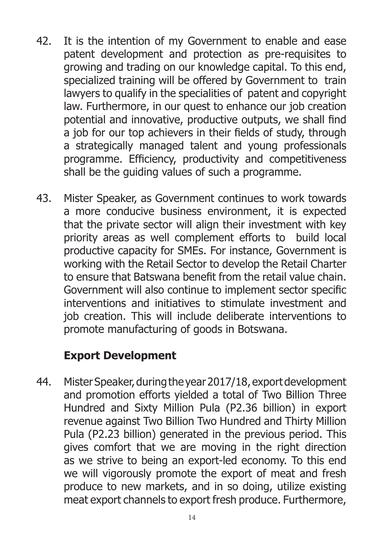- 42. It is the intention of my Government to enable and ease patent development and protection as pre-requisites to growing and trading on our knowledge capital. To this end, specialized training will be offered by Government to train lawyers to qualify in the specialities of patent and copyright law. Furthermore, in our quest to enhance our job creation potential and innovative, productive outputs, we shall find a job for our top achievers in their fields of study, through a strategically managed talent and young professionals programme. Efficiency, productivity and competitiveness shall be the guiding values of such a programme.
- 43. Mister Speaker, as Government continues to work towards a more conducive business environment, it is expected that the private sector will align their investment with key priority areas as well complement efforts to build local productive capacity for SMEs. For instance, Government is working with the Retail Sector to develop the Retail Charter to ensure that Batswana benefit from the retail value chain. Government will also continue to implement sector specific interventions and initiatives to stimulate investment and job creation. This will include deliberate interventions to promote manufacturing of goods in Botswana.

## **Export Development**

44. Mister Speaker, during the year 2017/18, export development and promotion efforts yielded a total of Two Billion Three Hundred and Sixty Million Pula (P2.36 billion) in export revenue against Two Billion Two Hundred and Thirty Million Pula (P2.23 billion) generated in the previous period. This gives comfort that we are moving in the right direction as we strive to being an export-led economy. To this end we will vigorously promote the export of meat and fresh produce to new markets, and in so doing, utilize existing meat export channels to export fresh produce. Furthermore,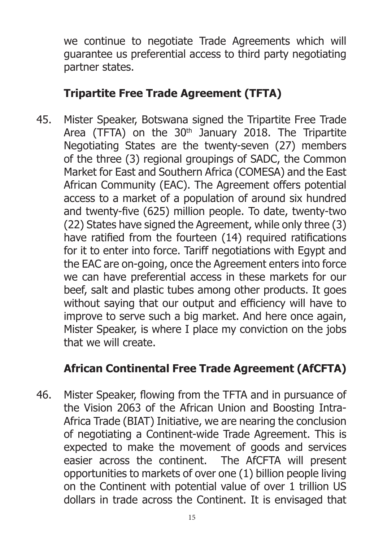we continue to negotiate Trade Agreements which will guarantee us preferential access to third party negotiating partner states.

#### **Tripartite Free Trade Agreement (TFTA)**

45. Mister Speaker, Botswana signed the Tripartite Free Trade Area (TFTA) on the  $30<sup>th</sup>$  January 2018. The Tripartite Negotiating States are the twenty-seven (27) members of the three (3) regional groupings of SADC, the Common Market for East and Southern Africa (COMESA) and the East African Community (EAC). The Agreement offers potential access to a market of a population of around six hundred and twenty-five (625) million people. To date, twenty-two (22) States have signed the Agreement, while only three (3) have ratified from the fourteen (14) required ratifications for it to enter into force. Tariff negotiations with Egypt and the EAC are on-going, once the Agreement enters into force we can have preferential access in these markets for our beef, salt and plastic tubes among other products. It goes without saying that our output and efficiency will have to improve to serve such a big market. And here once again, Mister Speaker, is where I place my conviction on the jobs that we will create.

## **African Continental Free Trade Agreement (AfCFTA)**

46. Mister Speaker, flowing from the TFTA and in pursuance of the Vision 2063 of the African Union and Boosting Intra-Africa Trade (BIAT) Initiative, we are nearing the conclusion of negotiating a Continent-wide Trade Agreement. This is expected to make the movement of goods and services easier across the continent. The AfCFTA will present opportunities to markets of over one (1) billion people living on the Continent with potential value of over 1 trillion US dollars in trade across the Continent. It is envisaged that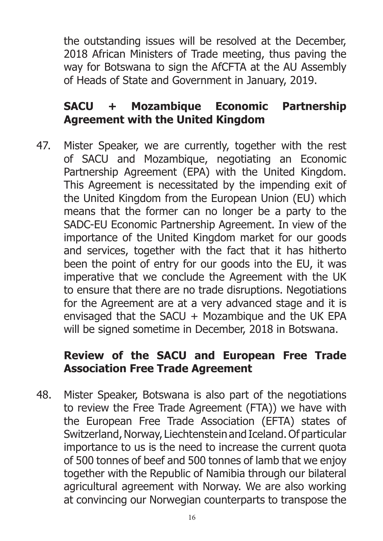the outstanding issues will be resolved at the December, 2018 African Ministers of Trade meeting, thus paving the way for Botswana to sign the AfCFTA at the AU Assembly of Heads of State and Government in January, 2019.

#### **SACU + Mozambique Economic Partnership Agreement with the United Kingdom**

47. Mister Speaker, we are currently, together with the rest of SACU and Mozambique, negotiating an Economic Partnership Agreement (EPA) with the United Kingdom. This Agreement is necessitated by the impending exit of the United Kingdom from the European Union (EU) which means that the former can no longer be a party to the SADC-EU Economic Partnership Agreement. In view of the importance of the United Kingdom market for our goods and services, together with the fact that it has hitherto been the point of entry for our goods into the EU, it was imperative that we conclude the Agreement with the UK to ensure that there are no trade disruptions. Negotiations for the Agreement are at a very advanced stage and it is envisaged that the SACU  $+$  Mozambique and the UK EPA will be signed sometime in December, 2018 in Botswana.

### **Review of the SACU and European Free Trade Association Free Trade Agreement**

48. Mister Speaker, Botswana is also part of the negotiations to review the Free Trade Agreement (FTA)) we have with the European Free Trade Association (EFTA) states of Switzerland, Norway, Liechtenstein and Iceland. Of particular importance to us is the need to increase the current quota of 500 tonnes of beef and 500 tonnes of lamb that we enjoy together with the Republic of Namibia through our bilateral agricultural agreement with Norway. We are also working at convincing our Norwegian counterparts to transpose the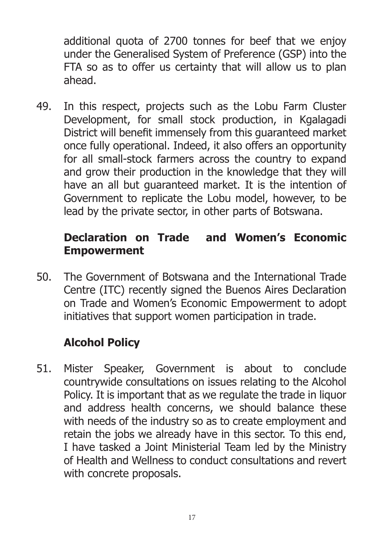additional quota of 2700 tonnes for beef that we enjoy under the Generalised System of Preference (GSP) into the FTA so as to offer us certainty that will allow us to plan ahead.

49. In this respect, projects such as the Lobu Farm Cluster Development, for small stock production, in Kgalagadi District will benefit immensely from this guaranteed market once fully operational. Indeed, it also offers an opportunity for all small-stock farmers across the country to expand and grow their production in the knowledge that they will have an all but guaranteed market. It is the intention of Government to replicate the Lobu model, however, to be lead by the private sector, in other parts of Botswana.

#### **Declaration on Trade and Women's Economic Empowerment**

50. The Government of Botswana and the International Trade Centre (ITC) recently signed the Buenos Aires Declaration on Trade and Women's Economic Empowerment to adopt initiatives that support women participation in trade.

# **Alcohol Policy**

51. Mister Speaker, Government is about to conclude countrywide consultations on issues relating to the Alcohol Policy. It is important that as we regulate the trade in liquor and address health concerns, we should balance these with needs of the industry so as to create employment and retain the jobs we already have in this sector. To this end, I have tasked a Joint Ministerial Team led by the Ministry of Health and Wellness to conduct consultations and revert with concrete proposals.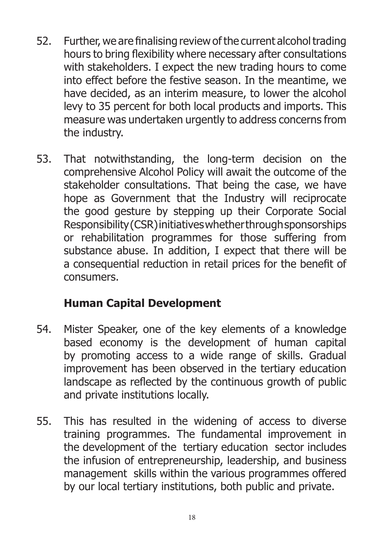- 52. Further, we are finalising review of the current alcohol trading hours to bring flexibility where necessary after consultations with stakeholders. I expect the new trading hours to come into effect before the festive season. In the meantime, we have decided, as an interim measure, to lower the alcohol levy to 35 percent for both local products and imports. This measure was undertaken urgently to address concerns from the industry.
- 53. That notwithstanding, the long-term decision on the comprehensive Alcohol Policy will await the outcome of the stakeholder consultations. That being the case, we have hope as Government that the Industry will reciprocate the good gesture by stepping up their Corporate Social Responsibility (CSR) initiatives whether through sponsorships or rehabilitation programmes for those suffering from substance abuse. In addition, I expect that there will be a consequential reduction in retail prices for the benefit of consumers.

# **Human Capital Development**

- 54. Mister Speaker, one of the key elements of a knowledge based economy is the development of human capital by promoting access to a wide range of skills. Gradual improvement has been observed in the tertiary education landscape as reflected by the continuous growth of public and private institutions locally.
- 55. This has resulted in the widening of access to diverse training programmes. The fundamental improvement in the development of the tertiary education sector includes the infusion of entrepreneurship, leadership, and business management skills within the various programmes offered by our local tertiary institutions, both public and private.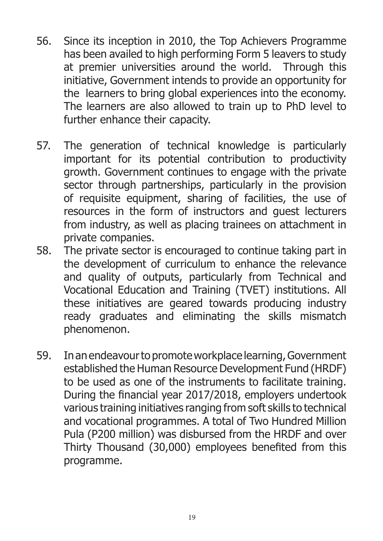- 56. Since its inception in 2010, the Top Achievers Programme has been availed to high performing Form 5 leavers to study at premier universities around the world. Through this initiative, Government intends to provide an opportunity for the learners to bring global experiences into the economy. The learners are also allowed to train up to PhD level to further enhance their capacity.
- 57. The generation of technical knowledge is particularly important for its potential contribution to productivity growth. Government continues to engage with the private sector through partnerships, particularly in the provision of requisite equipment, sharing of facilities, the use of resources in the form of instructors and guest lecturers from industry, as well as placing trainees on attachment in private companies.
- 58. The private sector is encouraged to continue taking part in the development of curriculum to enhance the relevance and quality of outputs, particularly from Technical and Vocational Education and Training (TVET) institutions. All these initiatives are geared towards producing industry ready graduates and eliminating the skills mismatch phenomenon.
- 59. In an endeavour to promote workplace learning, Government established the Human Resource Development Fund (HRDF) to be used as one of the instruments to facilitate training. During the financial year 2017/2018, employers undertook various training initiatives ranging from soft skills to technical and vocational programmes. A total of Two Hundred Million Pula (P200 million) was disbursed from the HRDF and over Thirty Thousand (30,000) employees benefited from this programme.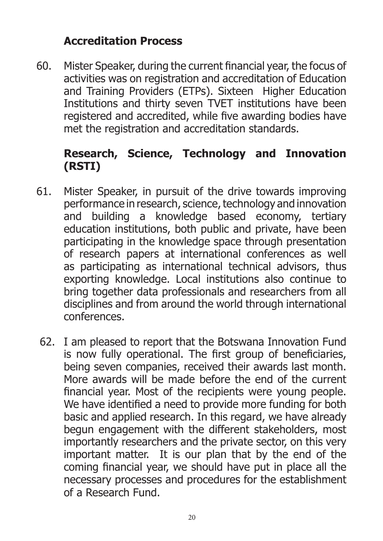#### **Accreditation Process**

60. Mister Speaker, during the current financial year, the focus of activities was on registration and accreditation of Education and Training Providers (ETPs). Sixteen Higher Education Institutions and thirty seven TVET institutions have been registered and accredited, while five awarding bodies have met the registration and accreditation standards.

#### **Research, Science, Technology and Innovation (RSTI)**

- 61. Mister Speaker, in pursuit of the drive towards improving performance in research, science, technology and innovation and building a knowledge based economy, tertiary education institutions, both public and private, have been participating in the knowledge space through presentation of research papers at international conferences as well as participating as international technical advisors, thus exporting knowledge. Local institutions also continue to bring together data professionals and researchers from all disciplines and from around the world through international conferences.
- 62. I am pleased to report that the Botswana Innovation Fund is now fully operational. The first group of beneficiaries, being seven companies, received their awards last month. More awards will be made before the end of the current financial year. Most of the recipients were young people. We have identified a need to provide more funding for both basic and applied research. In this regard, we have already begun engagement with the different stakeholders, most importantly researchers and the private sector, on this very important matter. It is our plan that by the end of the coming financial year, we should have put in place all the necessary processes and procedures for the establishment of a Research Fund.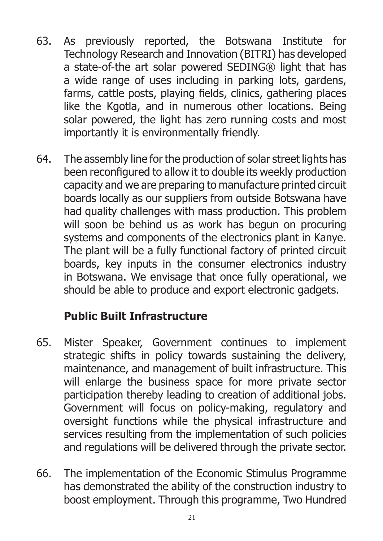- 63. As previously reported, the Botswana Institute for Technology Research and Innovation (BITRI) has developed a state-of-the art solar powered SEDING® light that has a wide range of uses including in parking lots, gardens, farms, cattle posts, playing fields, clinics, gathering places like the Kgotla, and in numerous other locations. Being solar powered, the light has zero running costs and most importantly it is environmentally friendly.
- 64. The assembly line for the production of solar street lights has been reconfigured to allow it to double its weekly production capacity and we are preparing to manufacture printed circuit boards locally as our suppliers from outside Botswana have had quality challenges with mass production. This problem will soon be behind us as work has begun on procuring systems and components of the electronics plant in Kanye. The plant will be a fully functional factory of printed circuit boards, key inputs in the consumer electronics industry in Botswana. We envisage that once fully operational, we should be able to produce and export electronic gadgets.

## **Public Built Infrastructure**

- 65. Mister Speaker, Government continues to implement strategic shifts in policy towards sustaining the delivery, maintenance, and management of built infrastructure. This will enlarge the business space for more private sector participation thereby leading to creation of additional jobs. Government will focus on policy-making, regulatory and oversight functions while the physical infrastructure and services resulting from the implementation of such policies and regulations will be delivered through the private sector.
- 66. The implementation of the Economic Stimulus Programme has demonstrated the ability of the construction industry to boost employment. Through this programme, Two Hundred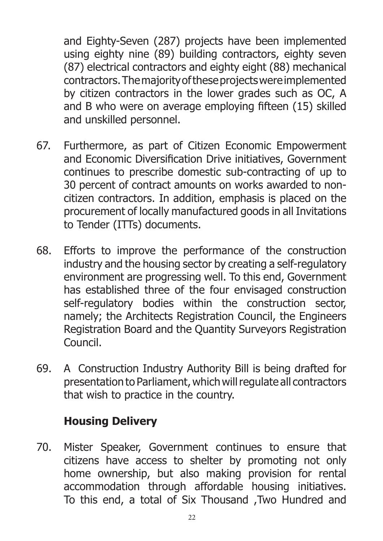and Eighty-Seven (287) projects have been implemented using eighty nine (89) building contractors, eighty seven (87) electrical contractors and eighty eight (88) mechanical contractors. The majority of these projects were implemented by citizen contractors in the lower grades such as OC, A and B who were on average employing fifteen (15) skilled and unskilled personnel.

- 67. Furthermore, as part of Citizen Economic Empowerment and Economic Diversification Drive initiatives, Government continues to prescribe domestic sub-contracting of up to 30 percent of contract amounts on works awarded to noncitizen contractors. In addition, emphasis is placed on the procurement of locally manufactured goods in all Invitations to Tender (ITTs) documents.
- 68. Efforts to improve the performance of the construction industry and the housing sector by creating a self-regulatory environment are progressing well. To this end, Government has established three of the four envisaged construction self-regulatory bodies within the construction sector, namely; the Architects Registration Council, the Engineers Registration Board and the Quantity Surveyors Registration Council.
- 69. A Construction Industry Authority Bill is being drafted for presentation to Parliament, which will regulate all contractors that wish to practice in the country.

#### **Housing Delivery**

70. Mister Speaker, Government continues to ensure that citizens have access to shelter by promoting not only home ownership, but also making provision for rental accommodation through affordable housing initiatives. To this end, a total of Six Thousand ,Two Hundred and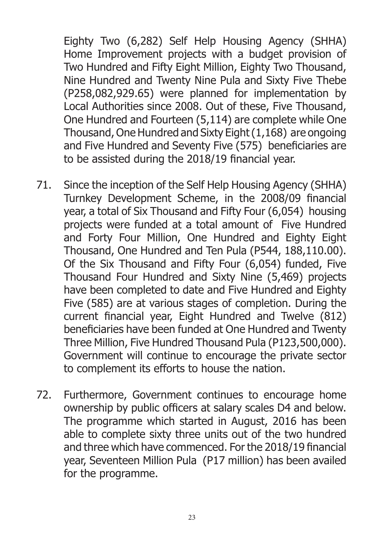Eighty Two (6,282) Self Help Housing Agency (SHHA) Home Improvement projects with a budget provision of Two Hundred and Fifty Eight Million, Eighty Two Thousand, Nine Hundred and Twenty Nine Pula and Sixty Five Thebe (P258,082,929.65) were planned for implementation by Local Authorities since 2008. Out of these, Five Thousand, One Hundred and Fourteen (5,114) are complete while One Thousand, One Hundred and Sixty Eight (1,168) are ongoing and Five Hundred and Seventy Five (575) beneficiaries are to be assisted during the 2018/19 financial year.

- 71. Since the inception of the Self Help Housing Agency (SHHA) Turnkey Development Scheme, in the 2008/09 financial year, a total of Six Thousand and Fifty Four (6,054) housing projects were funded at a total amount of Five Hundred and Forty Four Million, One Hundred and Eighty Eight Thousand, One Hundred and Ten Pula (P544, 188,110.00). Of the Six Thousand and Fifty Four (6,054) funded, Five Thousand Four Hundred and Sixty Nine (5,469) projects have been completed to date and Five Hundred and Eighty Five (585) are at various stages of completion. During the current financial year, Eight Hundred and Twelve (812) beneficiaries have been funded at One Hundred and Twenty Three Million, Five Hundred Thousand Pula (P123,500,000). Government will continue to encourage the private sector to complement its efforts to house the nation.
- 72. Furthermore, Government continues to encourage home ownership by public officers at salary scales D4 and below. The programme which started in August, 2016 has been able to complete sixty three units out of the two hundred and three which have commenced. For the 2018/19 financial year, Seventeen Million Pula (P17 million) has been availed for the programme.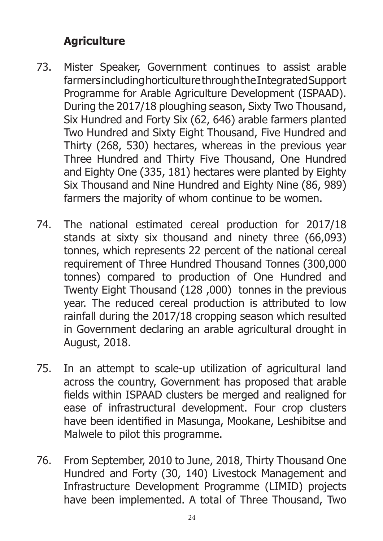### **Agriculture**

- 73. Mister Speaker, Government continues to assist arable farmers including horticulture through the Integrated Support Programme for Arable Agriculture Development (ISPAAD). During the 2017/18 ploughing season, Sixty Two Thousand, Six Hundred and Forty Six (62, 646) arable farmers planted Two Hundred and Sixty Eight Thousand, Five Hundred and Thirty (268, 530) hectares, whereas in the previous year Three Hundred and Thirty Five Thousand, One Hundred and Eighty One (335, 181) hectares were planted by Eighty Six Thousand and Nine Hundred and Eighty Nine (86, 989) farmers the majority of whom continue to be women.
- 74. The national estimated cereal production for 2017/18 stands at sixty six thousand and ninety three (66,093) tonnes, which represents 22 percent of the national cereal requirement of Three Hundred Thousand Tonnes (300,000 tonnes) compared to production of One Hundred and Twenty Eight Thousand (128 ,000) tonnes in the previous year. The reduced cereal production is attributed to low rainfall during the 2017/18 cropping season which resulted in Government declaring an arable agricultural drought in August, 2018.
- 75. In an attempt to scale-up utilization of agricultural land across the country, Government has proposed that arable fields within ISPAAD clusters be merged and realigned for ease of infrastructural development. Four crop clusters have been identified in Masunga, Mookane, Leshibitse and Malwele to pilot this programme.
- 76. From September, 2010 to June, 2018, Thirty Thousand One Hundred and Forty (30, 140) Livestock Management and Infrastructure Development Programme (LIMID) projects have been implemented. A total of Three Thousand, Two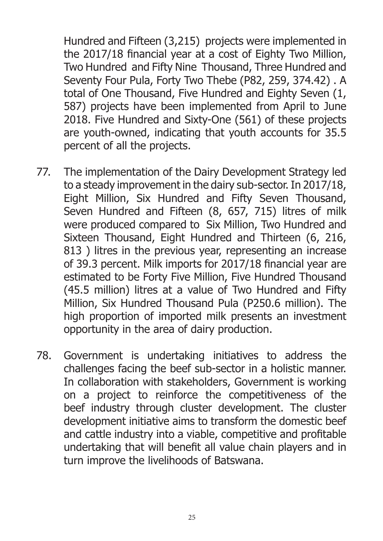Hundred and Fifteen (3,215) projects were implemented in the 2017/18 financial year at a cost of Eighty Two Million, Two Hundred and Fifty Nine Thousand, Three Hundred and Seventy Four Pula, Forty Two Thebe (P82, 259, 374.42) . A total of One Thousand, Five Hundred and Eighty Seven (1, 587) projects have been implemented from April to June 2018. Five Hundred and Sixty-One (561) of these projects are youth-owned, indicating that youth accounts for 35.5 percent of all the projects.

- 77. The implementation of the Dairy Development Strategy led to a steady improvement in the dairy sub-sector. In 2017/18, Eight Million, Six Hundred and Fifty Seven Thousand, Seven Hundred and Fifteen (8, 657, 715) litres of milk were produced compared to Six Million, Two Hundred and Sixteen Thousand, Eight Hundred and Thirteen (6, 216, 813 ) litres in the previous year, representing an increase of 39.3 percent. Milk imports for 2017/18 financial year are estimated to be Forty Five Million, Five Hundred Thousand (45.5 million) litres at a value of Two Hundred and Fifty Million, Six Hundred Thousand Pula (P250.6 million). The high proportion of imported milk presents an investment opportunity in the area of dairy production.
- 78. Government is undertaking initiatives to address the challenges facing the beef sub-sector in a holistic manner. In collaboration with stakeholders, Government is working on a project to reinforce the competitiveness of the beef industry through cluster development. The cluster development initiative aims to transform the domestic beef and cattle industry into a viable, competitive and profitable undertaking that will benefit all value chain players and in turn improve the livelihoods of Batswana.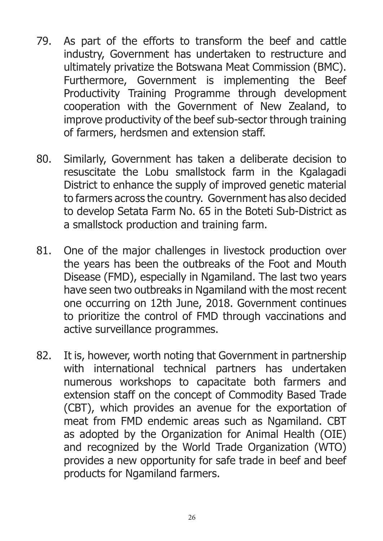- 79. As part of the efforts to transform the beef and cattle industry, Government has undertaken to restructure and ultimately privatize the Botswana Meat Commission (BMC). Furthermore, Government is implementing the Beef Productivity Training Programme through development cooperation with the Government of New Zealand, to improve productivity of the beef sub-sector through training of farmers, herdsmen and extension staff.
- 80. Similarly, Government has taken a deliberate decision to resuscitate the Lobu smallstock farm in the Kgalagadi District to enhance the supply of improved genetic material to farmers across the country. Government has also decided to develop Setata Farm No. 65 in the Boteti Sub-District as a smallstock production and training farm.
- 81. One of the major challenges in livestock production over the years has been the outbreaks of the Foot and Mouth Disease (FMD), especially in Ngamiland. The last two years have seen two outbreaks in Ngamiland with the most recent one occurring on 12th June, 2018. Government continues to prioritize the control of FMD through vaccinations and active surveillance programmes.
- 82. It is, however, worth noting that Government in partnership with international technical partners has undertaken numerous workshops to capacitate both farmers and extension staff on the concept of Commodity Based Trade (CBT), which provides an avenue for the exportation of meat from FMD endemic areas such as Ngamiland. CBT as adopted by the Organization for Animal Health (OIE) and recognized by the World Trade Organization (WTO) provides a new opportunity for safe trade in beef and beef products for Ngamiland farmers.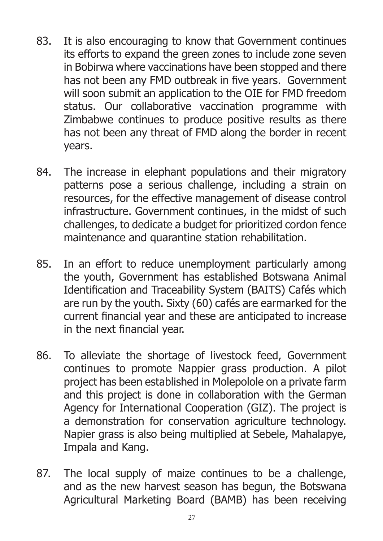- 83. It is also encouraging to know that Government continues its efforts to expand the green zones to include zone seven in Bobirwa where vaccinations have been stopped and there has not been any FMD outbreak in five years. Government will soon submit an application to the OIE for FMD freedom status. Our collaborative vaccination programme with Zimbabwe continues to produce positive results as there has not been any threat of FMD along the border in recent years.
- 84. The increase in elephant populations and their migratory patterns pose a serious challenge, including a strain on resources, for the effective management of disease control infrastructure. Government continues, in the midst of such challenges, to dedicate a budget for prioritized cordon fence maintenance and quarantine station rehabilitation.
- 85. In an effort to reduce unemployment particularly among the youth, Government has established Botswana Animal Identification and Traceability System (BAITS) Cafés which are run by the youth. Sixty (60) cafés are earmarked for the current financial year and these are anticipated to increase in the next financial year.
- 86. To alleviate the shortage of livestock feed, Government continues to promote Nappier grass production. A pilot project has been established in Molepolole on a private farm and this project is done in collaboration with the German Agency for International Cooperation (GIZ). The project is a demonstration for conservation agriculture technology. Napier grass is also being multiplied at Sebele, Mahalapye, Impala and Kang.
- 87. The local supply of maize continues to be a challenge, and as the new harvest season has begun, the Botswana Agricultural Marketing Board (BAMB) has been receiving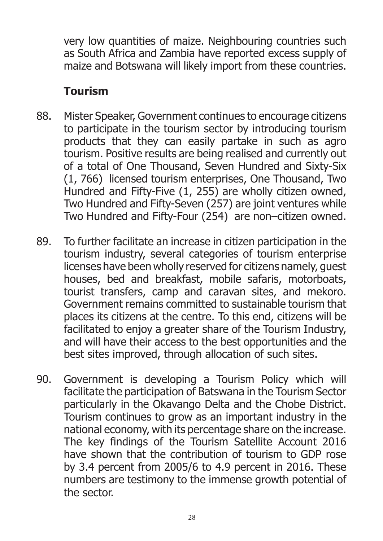very low quantities of maize. Neighbouring countries such as South Africa and Zambia have reported excess supply of maize and Botswana will likely import from these countries.

## **Tourism**

- 88. Mister Speaker, Government continues to encourage citizens to participate in the tourism sector by introducing tourism products that they can easily partake in such as agro tourism. Positive results are being realised and currently out of a total of One Thousand, Seven Hundred and Sixty-Six (1, 766) licensed tourism enterprises, One Thousand, Two Hundred and Fifty-Five (1, 255) are wholly citizen owned, Two Hundred and Fifty-Seven (257) are joint ventures while Two Hundred and Fifty-Four (254) are non–citizen owned.
- 89. To further facilitate an increase in citizen participation in the tourism industry, several categories of tourism enterprise licenses have been wholly reserved for citizens namely, guest houses, bed and breakfast, mobile safaris, motorboats, tourist transfers, camp and caravan sites, and mekoro. Government remains committed to sustainable tourism that places its citizens at the centre. To this end, citizens will be facilitated to enjoy a greater share of the Tourism Industry, and will have their access to the best opportunities and the best sites improved, through allocation of such sites.
- 90. Government is developing a Tourism Policy which will facilitate the participation of Batswana in the Tourism Sector particularly in the Okavango Delta and the Chobe District. Tourism continues to grow as an important industry in the national economy, with its percentage share on the increase. The key findings of the Tourism Satellite Account 2016 have shown that the contribution of tourism to GDP rose by 3.4 percent from 2005/6 to 4.9 percent in 2016. These numbers are testimony to the immense growth potential of the sector.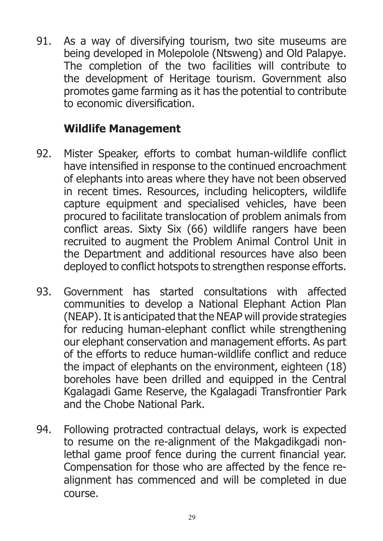91. As a way of diversifying tourism, two site museums are being developed in Molepolole (Ntsweng) and Old Palapye. The completion of the two facilities will contribute to the development of Heritage tourism. Government also promotes game farming as it has the potential to contribute to economic diversification.

#### **Wildlife Management**

- 92. Mister Speaker, efforts to combat human-wildlife conflict have intensified in response to the continued encroachment of elephants into areas where they have not been observed in recent times. Resources, including helicopters, wildlife capture equipment and specialised vehicles, have been procured to facilitate translocation of problem animals from conflict areas. Sixty Six (66) wildlife rangers have been recruited to augment the Problem Animal Control Unit in the Department and additional resources have also been deployed to conflict hotspots to strengthen response efforts.
- 93. Government has started consultations with affected communities to develop a National Elephant Action Plan (NEAP). It is anticipated that the NEAP will provide strategies for reducing human-elephant conflict while strengthening our elephant conservation and management efforts. As part of the efforts to reduce human-wildlife conflict and reduce the impact of elephants on the environment, eighteen (18) boreholes have been drilled and equipped in the Central Kgalagadi Game Reserve, the Kgalagadi Transfrontier Park and the Chobe National Park.
- 94. Following protracted contractual delays, work is expected to resume on the re-alignment of the Makgadikgadi nonlethal game proof fence during the current financial year. Compensation for those who are affected by the fence realignment has commenced and will be completed in due course.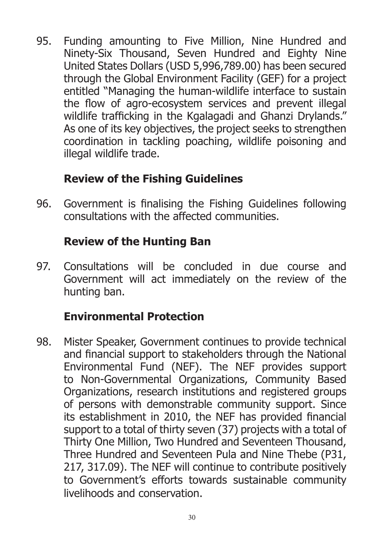95. Funding amounting to Five Million, Nine Hundred and Ninety-Six Thousand, Seven Hundred and Eighty Nine United States Dollars (USD 5,996,789.00) has been secured through the Global Environment Facility (GEF) for a project entitled "Managing the human-wildlife interface to sustain the flow of agro-ecosystem services and prevent illegal wildlife trafficking in the Kgalagadi and Ghanzi Drylands." As one of its key objectives, the project seeks to strengthen coordination in tackling poaching, wildlife poisoning and illegal wildlife trade.

## **Review of the Fishing Guidelines**

96. Government is finalising the Fishing Guidelines following consultations with the affected communities.

#### **Review of the Hunting Ban**

97. Consultations will be concluded in due course and Government will act immediately on the review of the hunting ban.

#### **Environmental Protection**

98. Mister Speaker, Government continues to provide technical and financial support to stakeholders through the National Environmental Fund (NEF). The NEF provides support to Non-Governmental Organizations, Community Based Organizations, research institutions and registered groups of persons with demonstrable community support. Since its establishment in 2010, the NEF has provided financial support to a total of thirty seven (37) projects with a total of Thirty One Million, Two Hundred and Seventeen Thousand, Three Hundred and Seventeen Pula and Nine Thebe (P31, 217, 317.09). The NEF will continue to contribute positively to Government's efforts towards sustainable community livelihoods and conservation.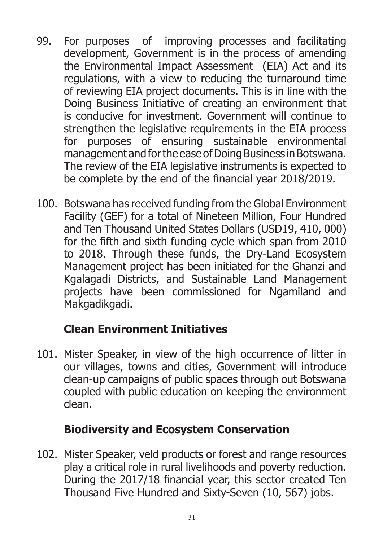- 99. For purposes of improving processes and facilitating development, Government is in the process of amending the Environmental Impact Assessment (EIA) Act and its regulations, with a view to reducing the turnaround time of reviewing EIA project documents. This is in line with the Doing Business Initiative of creating an environment that is conducive for investment. Government will continue to strengthen the legislative requirements in the EIA process for purposes of ensuring sustainable environmental management and for the ease of Doing Business in Botswana. The review of the EIA legislative instruments is expected to be complete by the end of the financial year 2018/2019.
- 100. Botswana has received funding from the Global Environment Facility (GEF) for a total of Nineteen Million, Four Hundred and Ten Thousand United States Dollars (USD19, 410, 000) for the fifth and sixth funding cycle which span from 2010 to 2018. Through these funds, the Dry-Land Ecosystem Management project has been initiated for the Ghanzi and Kgalagadi Districts, and Sustainable Land Management projects have been commissioned for Ngamiland and Makgadikgadi.

## **Clean Environment Initiatives**

101. Mister Speaker, in view of the high occurrence of litter in our villages, towns and cities, Government will introduce clean-up campaigns of public spaces through out Botswana coupled with public education on keeping the environment clean.

#### **Biodiversity and Ecosystem Conservation**

102. Mister Speaker, veld products or forest and range resources play a critical role in rural livelihoods and poverty reduction. During the 2017/18 financial year, this sector created Ten Thousand Five Hundred and Sixty-Seven (10, 567) jobs.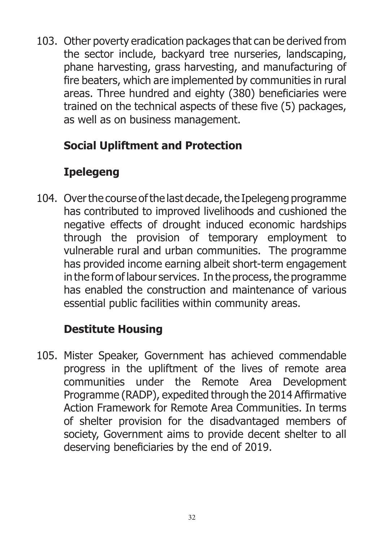103. Other poverty eradication packages that can be derived from the sector include, backyard tree nurseries, landscaping, phane harvesting, grass harvesting, and manufacturing of fire beaters, which are implemented by communities in rural areas. Three hundred and eighty (380) beneficiaries were trained on the technical aspects of these five (5) packages, as well as on business management.

## **Social Upliftment and Protection**

# **Ipelegeng**

104. Over the course of the last decade, the Ipelegeng programme has contributed to improved livelihoods and cushioned the negative effects of drought induced economic hardships through the provision of temporary employment to vulnerable rural and urban communities. The programme has provided income earning albeit short-term engagement in the form of labour services. In the process, the programme has enabled the construction and maintenance of various essential public facilities within community areas.

## **Destitute Housing**

105. Mister Speaker, Government has achieved commendable progress in the upliftment of the lives of remote area communities under the Remote Area Development Programme (RADP), expedited through the 2014 Affirmative Action Framework for Remote Area Communities. In terms of shelter provision for the disadvantaged members of society, Government aims to provide decent shelter to all deserving beneficiaries by the end of 2019.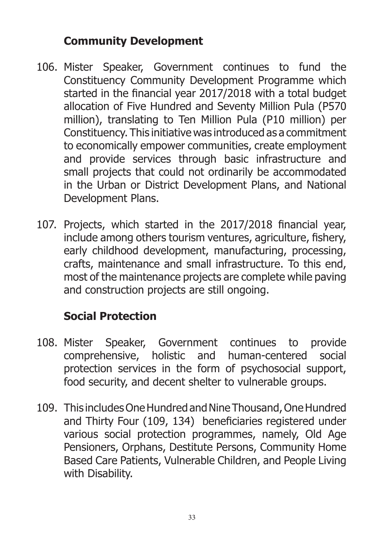#### **Community Development**

- 106. Mister Speaker, Government continues to fund the Constituency Community Development Programme which started in the financial year 2017/2018 with a total budget allocation of Five Hundred and Seventy Million Pula (P570 million), translating to Ten Million Pula (P10 million) per Constituency. This initiative was introduced as a commitment to economically empower communities, create employment and provide services through basic infrastructure and small projects that could not ordinarily be accommodated in the Urban or District Development Plans, and National Development Plans.
- 107. Projects, which started in the 2017/2018 financial year, include among others tourism ventures, agriculture, fishery, early childhood development, manufacturing, processing, crafts, maintenance and small infrastructure. To this end, most of the maintenance projects are complete while paving and construction projects are still ongoing.

#### **Social Protection**

- 108. Mister Speaker, Government continues to provide comprehensive, holistic and human-centered social protection services in the form of psychosocial support, food security, and decent shelter to vulnerable groups.
- 109. This includes One Hundred and Nine Thousand, One Hundred and Thirty Four (109, 134) beneficiaries registered under various social protection programmes, namely, Old Age Pensioners, Orphans, Destitute Persons, Community Home Based Care Patients, Vulnerable Children, and People Living with Disability.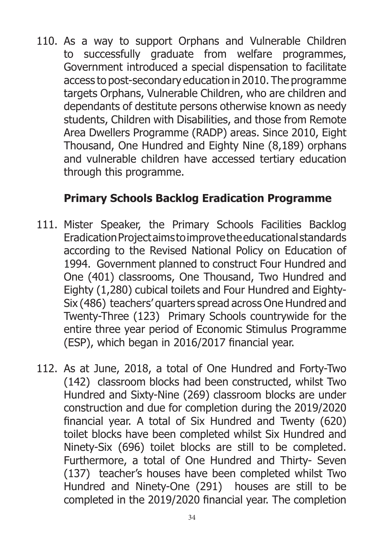110. As a way to support Orphans and Vulnerable Children to successfully graduate from welfare programmes, Government introduced a special dispensation to facilitate access to post-secondary education in 2010. The programme targets Orphans, Vulnerable Children, who are children and dependants of destitute persons otherwise known as needy students, Children with Disabilities, and those from Remote Area Dwellers Programme (RADP) areas. Since 2010, Eight Thousand, One Hundred and Eighty Nine (8,189) orphans and vulnerable children have accessed tertiary education through this programme.

#### **Primary Schools Backlog Eradication Programme**

- 111. Mister Speaker, the Primary Schools Facilities Backlog Eradication Project aims to improve the educational standards according to the Revised National Policy on Education of 1994. Government planned to construct Four Hundred and One (401) classrooms, One Thousand, Two Hundred and Eighty (1,280) cubical toilets and Four Hundred and Eighty-Six (486) teachers' quarters spread across One Hundred and Twenty-Three (123) Primary Schools countrywide for the entire three year period of Economic Stimulus Programme (ESP), which began in 2016/2017 financial year.
- 112. As at June, 2018, a total of One Hundred and Forty-Two (142) classroom blocks had been constructed, whilst Two Hundred and Sixty-Nine (269) classroom blocks are under construction and due for completion during the 2019/2020 financial year. A total of Six Hundred and Twenty (620) toilet blocks have been completed whilst Six Hundred and Ninety-Six (696) toilet blocks are still to be completed. Furthermore, a total of One Hundred and Thirty- Seven (137) teacher's houses have been completed whilst Two Hundred and Ninety-One (291) houses are still to be completed in the 2019/2020 financial year. The completion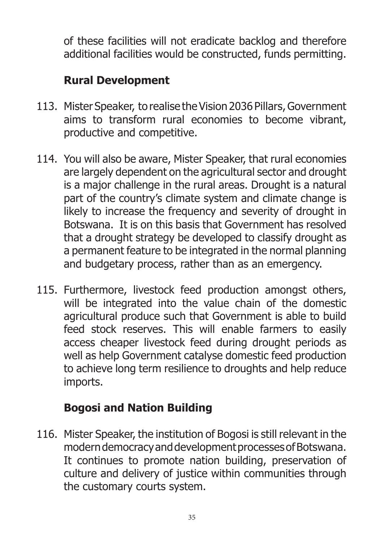of these facilities will not eradicate backlog and therefore additional facilities would be constructed, funds permitting.

## **Rural Development**

- 113. Mister Speaker, to realise the Vision 2036 Pillars, Government aims to transform rural economies to become vibrant, productive and competitive.
- 114. You will also be aware, Mister Speaker, that rural economies are largely dependent on the agricultural sector and drought is a major challenge in the rural areas. Drought is a natural part of the country's climate system and climate change is likely to increase the frequency and severity of drought in Botswana. It is on this basis that Government has resolved that a drought strategy be developed to classify drought as a permanent feature to be integrated in the normal planning and budgetary process, rather than as an emergency.
- 115. Furthermore, livestock feed production amongst others, will be integrated into the value chain of the domestic agricultural produce such that Government is able to build feed stock reserves. This will enable farmers to easily access cheaper livestock feed during drought periods as well as help Government catalyse domestic feed production to achieve long term resilience to droughts and help reduce imports.

# **Bogosi and Nation Building**

116. Mister Speaker, the institution of Bogosi is still relevant in the modern democracy and development processes of Botswana. It continues to promote nation building, preservation of culture and delivery of justice within communities through the customary courts system.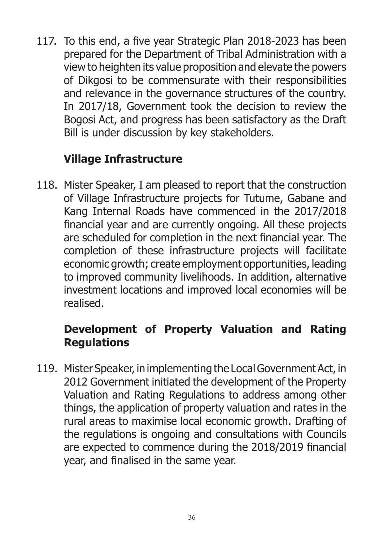117. To this end, a five year Strategic Plan 2018-2023 has been prepared for the Department of Tribal Administration with a view to heighten its value proposition and elevate the powers of Dikgosi to be commensurate with their responsibilities and relevance in the governance structures of the country. In 2017/18, Government took the decision to review the Bogosi Act, and progress has been satisfactory as the Draft Bill is under discussion by key stakeholders.

## **Village Infrastructure**

118. Mister Speaker, I am pleased to report that the construction of Village Infrastructure projects for Tutume, Gabane and Kang Internal Roads have commenced in the 2017/2018 financial year and are currently ongoing. All these projects are scheduled for completion in the next financial year. The completion of these infrastructure projects will facilitate economic growth; create employment opportunities, leading to improved community livelihoods. In addition, alternative investment locations and improved local economies will be realised.

# **Development of Property Valuation and Rating Regulations**

119. Mister Speaker, in implementing the Local Government Act, in 2012 Government initiated the development of the Property Valuation and Rating Regulations to address among other things, the application of property valuation and rates in the rural areas to maximise local economic growth. Drafting of the regulations is ongoing and consultations with Councils are expected to commence during the 2018/2019 financial year, and finalised in the same year.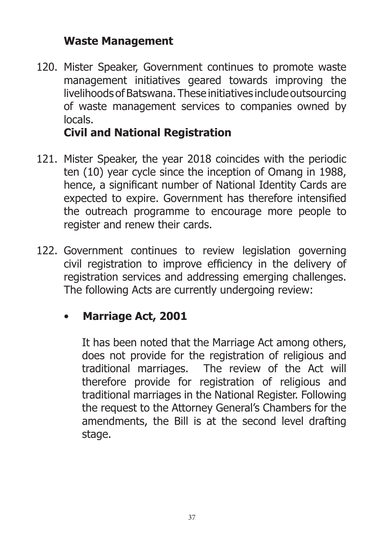#### **Waste Management**

120. Mister Speaker, Government continues to promote waste management initiatives geared towards improving the livelihoods of Batswana. These initiatives include outsourcing of waste management services to companies owned by locals.

## **Civil and National Registration**

- 121. Mister Speaker, the year 2018 coincides with the periodic ten (10) year cycle since the inception of Omang in 1988, hence, a significant number of National Identity Cards are expected to expire. Government has therefore intensified the outreach programme to encourage more people to register and renew their cards.
- 122. Government continues to review legislation governing civil registration to improve efficiency in the delivery of registration services and addressing emerging challenges. The following Acts are currently undergoing review:

## • **Marriage Act, 2001**

It has been noted that the Marriage Act among others, does not provide for the registration of religious and traditional marriages. The review of the Act will therefore provide for registration of religious and traditional marriages in the National Register. Following the request to the Attorney General's Chambers for the amendments, the Bill is at the second level drafting stage.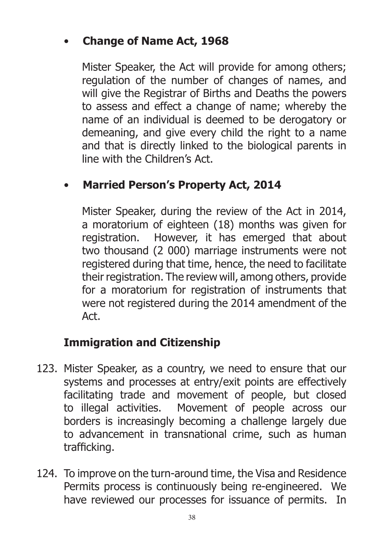## • **Change of Name Act, 1968**

Mister Speaker, the Act will provide for among others; regulation of the number of changes of names, and will give the Registrar of Births and Deaths the powers to assess and effect a change of name; whereby the name of an individual is deemed to be derogatory or demeaning, and give every child the right to a name and that is directly linked to the biological parents in line with the Children's Act.

## • **Married Person's Property Act, 2014**

Mister Speaker, during the review of the Act in 2014, a moratorium of eighteen (18) months was given for registration. However, it has emerged that about two thousand (2 000) marriage instruments were not registered during that time, hence, the need to facilitate their registration. The review will, among others, provide for a moratorium for registration of instruments that were not registered during the 2014 amendment of the Act.

## **Immigration and Citizenship**

- 123. Mister Speaker, as a country, we need to ensure that our systems and processes at entry/exit points are effectively facilitating trade and movement of people, but closed to illegal activities. Movement of people across our borders is increasingly becoming a challenge largely due to advancement in transnational crime, such as human trafficking.
- 124. To improve on the turn-around time, the Visa and Residence Permits process is continuously being re-engineered. We have reviewed our processes for issuance of permits. In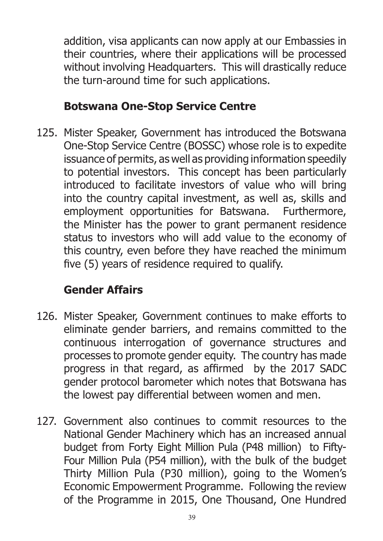addition, visa applicants can now apply at our Embassies in their countries, where their applications will be processed without involving Headquarters. This will drastically reduce the turn-around time for such applications.

### **Botswana One-Stop Service Centre**

125. Mister Speaker, Government has introduced the Botswana One-Stop Service Centre (BOSSC) whose role is to expedite issuance of permits, as well as providing information speedily to potential investors. This concept has been particularly introduced to facilitate investors of value who will bring into the country capital investment, as well as, skills and employment opportunities for Batswana. Furthermore, the Minister has the power to grant permanent residence status to investors who will add value to the economy of this country, even before they have reached the minimum five (5) years of residence required to qualify.

# **Gender Affairs**

- 126. Mister Speaker, Government continues to make efforts to eliminate gender barriers, and remains committed to the continuous interrogation of governance structures and processes to promote gender equity. The country has made progress in that regard, as affirmed by the 2017 SADC gender protocol barometer which notes that Botswana has the lowest pay differential between women and men.
- 127. Government also continues to commit resources to the National Gender Machinery which has an increased annual budget from Forty Eight Million Pula (P48 million) to Fifty-Four Million Pula (P54 million), with the bulk of the budget Thirty Million Pula (P30 million), going to the Women's Economic Empowerment Programme. Following the review of the Programme in 2015, One Thousand, One Hundred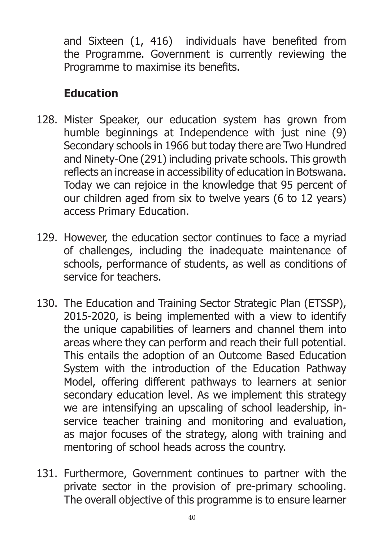and Sixteen (1, 416) individuals have benefited from the Programme. Government is currently reviewing the Programme to maximise its benefits.

# **Education**

- 128. Mister Speaker, our education system has grown from humble beginnings at Independence with just nine (9) Secondary schools in 1966 but today there are Two Hundred and Ninety-One (291) including private schools. This growth reflects an increase in accessibility of education in Botswana. Today we can rejoice in the knowledge that 95 percent of our children aged from six to twelve years (6 to 12 years) access Primary Education.
- 129. However, the education sector continues to face a myriad of challenges, including the inadequate maintenance of schools, performance of students, as well as conditions of service for teachers.
- 130. The Education and Training Sector Strategic Plan (ETSSP), 2015-2020, is being implemented with a view to identify the unique capabilities of learners and channel them into areas where they can perform and reach their full potential. This entails the adoption of an Outcome Based Education System with the introduction of the Education Pathway Model, offering different pathways to learners at senior secondary education level. As we implement this strategy we are intensifying an upscaling of school leadership, inservice teacher training and monitoring and evaluation, as major focuses of the strategy, along with training and mentoring of school heads across the country.
- 131. Furthermore, Government continues to partner with the private sector in the provision of pre-primary schooling. The overall objective of this programme is to ensure learner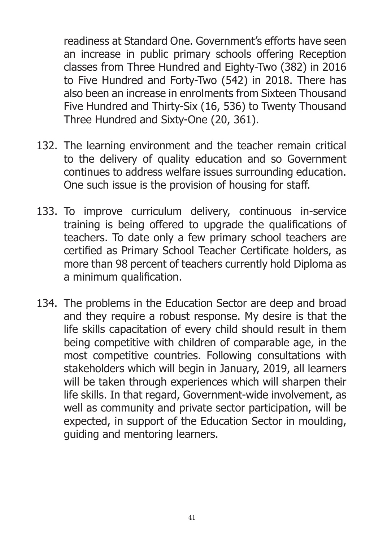readiness at Standard One. Government's efforts have seen an increase in public primary schools offering Reception classes from Three Hundred and Eighty-Two (382) in 2016 to Five Hundred and Forty-Two (542) in 2018. There has also been an increase in enrolments from Sixteen Thousand Five Hundred and Thirty-Six (16, 536) to Twenty Thousand Three Hundred and Sixty-One (20, 361).

- 132. The learning environment and the teacher remain critical to the delivery of quality education and so Government continues to address welfare issues surrounding education. One such issue is the provision of housing for staff.
- 133. To improve curriculum delivery, continuous in-service training is being offered to upgrade the qualifications of teachers. To date only a few primary school teachers are certified as Primary School Teacher Certificate holders, as more than 98 percent of teachers currently hold Diploma as a minimum qualification.
- 134. The problems in the Education Sector are deep and broad and they require a robust response. My desire is that the life skills capacitation of every child should result in them being competitive with children of comparable age, in the most competitive countries. Following consultations with stakeholders which will begin in January, 2019, all learners will be taken through experiences which will sharpen their life skills. In that regard, Government-wide involvement, as well as community and private sector participation, will be expected, in support of the Education Sector in moulding, guiding and mentoring learners.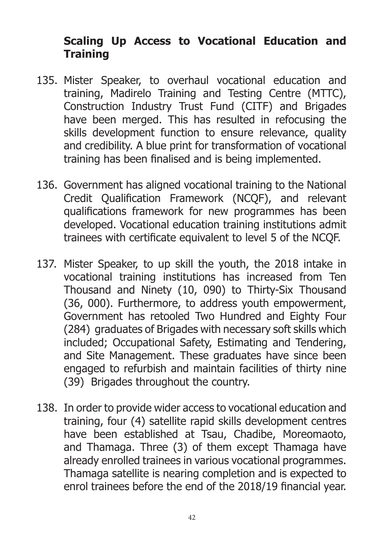#### **Scaling Up Access to Vocational Education and Training**

- 135. Mister Speaker, to overhaul vocational education and training, Madirelo Training and Testing Centre (MTTC), Construction Industry Trust Fund (CITF) and Brigades have been merged. This has resulted in refocusing the skills development function to ensure relevance, quality and credibility. A blue print for transformation of vocational training has been finalised and is being implemented.
- 136. Government has aligned vocational training to the National Credit Qualification Framework (NCQF), and relevant qualifications framework for new programmes has been developed. Vocational education training institutions admit trainees with certificate equivalent to level 5 of the NCQF.
- 137. Mister Speaker, to up skill the youth, the 2018 intake in vocational training institutions has increased from Ten Thousand and Ninety (10, 090) to Thirty-Six Thousand (36, 000). Furthermore, to address youth empowerment, Government has retooled Two Hundred and Eighty Four (284) graduates of Brigades with necessary soft skills which included; Occupational Safety, Estimating and Tendering, and Site Management. These graduates have since been engaged to refurbish and maintain facilities of thirty nine (39) Brigades throughout the country.
- 138. In order to provide wider access to vocational education and training, four (4) satellite rapid skills development centres have been established at Tsau, Chadibe, Moreomaoto, and Thamaga. Three (3) of them except Thamaga have already enrolled trainees in various vocational programmes. Thamaga satellite is nearing completion and is expected to enrol trainees before the end of the 2018/19 financial year.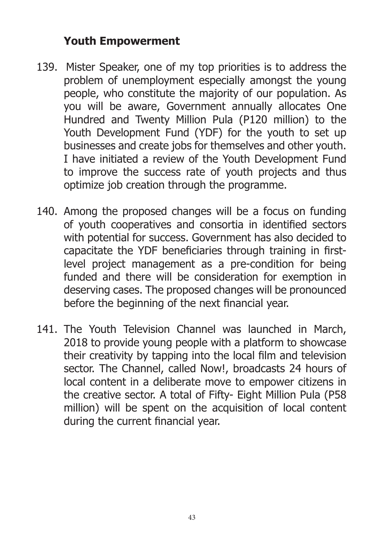#### **Youth Empowerment**

- 139. Mister Speaker, one of my top priorities is to address the problem of unemployment especially amongst the young people, who constitute the majority of our population. As you will be aware, Government annually allocates One Hundred and Twenty Million Pula (P120 million) to the Youth Development Fund (YDF) for the youth to set up businesses and create jobs for themselves and other youth. I have initiated a review of the Youth Development Fund to improve the success rate of youth projects and thus optimize job creation through the programme.
- 140. Among the proposed changes will be a focus on funding of youth cooperatives and consortia in identified sectors with potential for success. Government has also decided to capacitate the YDF beneficiaries through training in firstlevel project management as a pre-condition for being funded and there will be consideration for exemption in deserving cases. The proposed changes will be pronounced before the beginning of the next financial year.
- 141. The Youth Television Channel was launched in March, 2018 to provide young people with a platform to showcase their creativity by tapping into the local film and television sector. The Channel, called Now!, broadcasts 24 hours of local content in a deliberate move to empower citizens in the creative sector. A total of Fifty- Eight Million Pula (P58 million) will be spent on the acquisition of local content during the current financial year.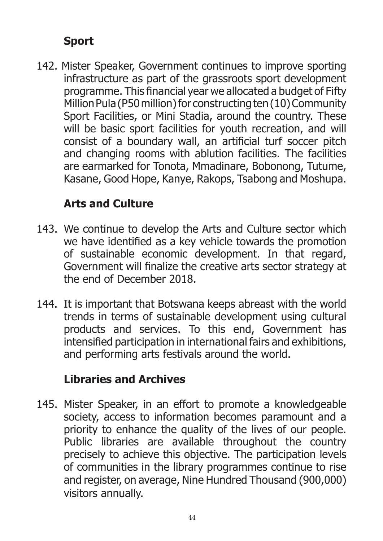# **Sport**

142. Mister Speaker, Government continues to improve sporting infrastructure as part of the grassroots sport development programme. This financial year we allocated a budget of Fifty Million Pula (P50 million) for constructing ten (10) Community Sport Facilities, or Mini Stadia, around the country. These will be basic sport facilities for youth recreation, and will consist of a boundary wall, an artificial turf soccer pitch and changing rooms with ablution facilities. The facilities are earmarked for Tonota, Mmadinare, Bobonong, Tutume, Kasane, Good Hope, Kanye, Rakops, Tsabong and Moshupa.

## **Arts and Culture**

- 143. We continue to develop the Arts and Culture sector which we have identified as a key vehicle towards the promotion of sustainable economic development. In that regard, Government will finalize the creative arts sector strategy at the end of December 2018.
- 144. It is important that Botswana keeps abreast with the world trends in terms of sustainable development using cultural products and services. To this end, Government has intensified participation in international fairs and exhibitions, and performing arts festivals around the world.

## **Libraries and Archives**

145. Mister Speaker, in an effort to promote a knowledgeable society, access to information becomes paramount and a priority to enhance the quality of the lives of our people. Public libraries are available throughout the country precisely to achieve this objective. The participation levels of communities in the library programmes continue to rise and register, on average, Nine Hundred Thousand (900,000) visitors annually.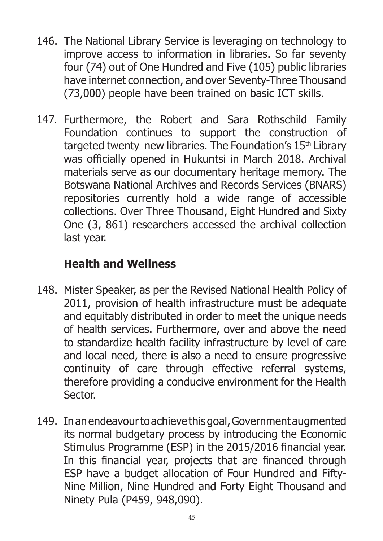- 146. The National Library Service is leveraging on technology to improve access to information in libraries. So far seventy four (74) out of One Hundred and Five (105) public libraries have internet connection, and over Seventy-Three Thousand (73,000) people have been trained on basic ICT skills.
- 147. Furthermore, the Robert and Sara Rothschild Family Foundation continues to support the construction of targeted twenty new libraries. The Foundation's 15<sup>th</sup> Library was officially opened in Hukuntsi in March 2018. Archival materials serve as our documentary heritage memory. The Botswana National Archives and Records Services (BNARS) repositories currently hold a wide range of accessible collections. Over Three Thousand, Eight Hundred and Sixty One (3, 861) researchers accessed the archival collection last year.

## **Health and Wellness**

- 148. Mister Speaker, as per the Revised National Health Policy of 2011, provision of health infrastructure must be adequate and equitably distributed in order to meet the unique needs of health services. Furthermore, over and above the need to standardize health facility infrastructure by level of care and local need, there is also a need to ensure progressive continuity of care through effective referral systems, therefore providing a conducive environment for the Health Sector.
- 149. In an endeavour to achieve this goal, Government augmented its normal budgetary process by introducing the Economic Stimulus Programme (ESP) in the 2015/2016 financial year. In this financial year, projects that are financed through ESP have a budget allocation of Four Hundred and Fifty-Nine Million, Nine Hundred and Forty Eight Thousand and Ninety Pula (P459, 948,090).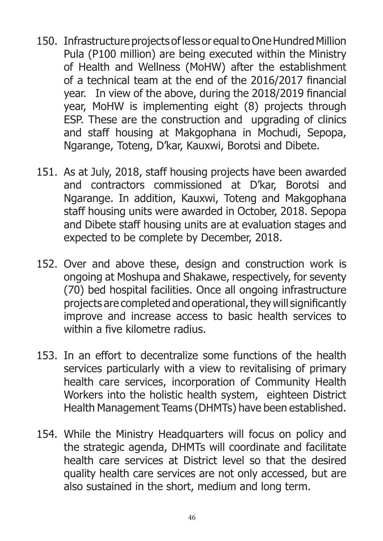- 150. Infrastructure projects of less or equal to One Hundred Million Pula (P100 million) are being executed within the Ministry of Health and Wellness (MoHW) after the establishment of a technical team at the end of the 2016/2017 financial year. In view of the above, during the 2018/2019 financial year, MoHW is implementing eight (8) projects through ESP. These are the construction and upgrading of clinics and staff housing at Makgophana in Mochudi, Sepopa, Ngarange, Toteng, D'kar, Kauxwi, Borotsi and Dibete.
- 151. As at July, 2018, staff housing projects have been awarded and contractors commissioned at D'kar, Borotsi and Ngarange. In addition, Kauxwi, Toteng and Makgophana staff housing units were awarded in October, 2018. Sepopa and Dibete staff housing units are at evaluation stages and expected to be complete by December, 2018.
- 152. Over and above these, design and construction work is ongoing at Moshupa and Shakawe, respectively, for seventy (70) bed hospital facilities. Once all ongoing infrastructure projects are completed and operational, they will significantly improve and increase access to basic health services to within a five kilometre radius.
- 153. In an effort to decentralize some functions of the health services particularly with a view to revitalising of primary health care services, incorporation of Community Health Workers into the holistic health system, eighteen District Health Management Teams (DHMTs) have been established.
- 154. While the Ministry Headquarters will focus on policy and the strategic agenda, DHMTs will coordinate and facilitate health care services at District level so that the desired quality health care services are not only accessed, but are also sustained in the short, medium and long term.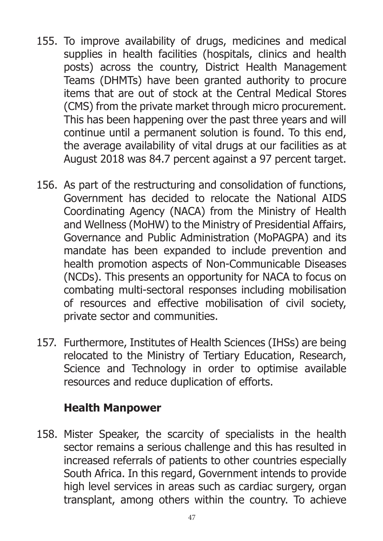- 155. To improve availability of drugs, medicines and medical supplies in health facilities (hospitals, clinics and health posts) across the country, District Health Management Teams (DHMTs) have been granted authority to procure items that are out of stock at the Central Medical Stores (CMS) from the private market through micro procurement. This has been happening over the past three years and will continue until a permanent solution is found. To this end, the average availability of vital drugs at our facilities as at August 2018 was 84.7 percent against a 97 percent target.
- 156. As part of the restructuring and consolidation of functions, Government has decided to relocate the National AIDS Coordinating Agency (NACA) from the Ministry of Health and Wellness (MoHW) to the Ministry of Presidential Affairs, Governance and Public Administration (MoPAGPA) and its mandate has been expanded to include prevention and health promotion aspects of Non-Communicable Diseases (NCDs). This presents an opportunity for NACA to focus on combating multi-sectoral responses including mobilisation of resources and effective mobilisation of civil society, private sector and communities.
- 157. Furthermore, Institutes of Health Sciences (IHSs) are being relocated to the Ministry of Tertiary Education, Research, Science and Technology in order to optimise available resources and reduce duplication of efforts.

#### **Health Manpower**

158. Mister Speaker, the scarcity of specialists in the health sector remains a serious challenge and this has resulted in increased referrals of patients to other countries especially South Africa. In this regard, Government intends to provide high level services in areas such as cardiac surgery, organ transplant, among others within the country. To achieve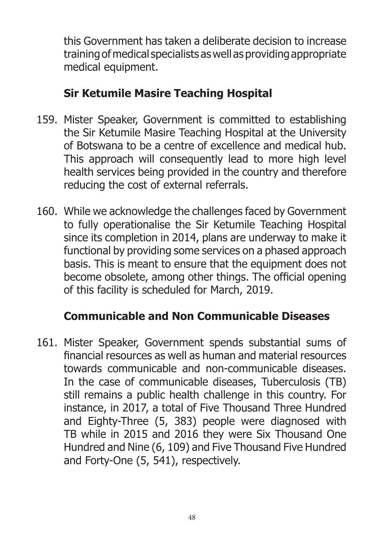this Government has taken a deliberate decision to increase training of medical specialists as well as providing appropriate medical equipment.

## **Sir Ketumile Masire Teaching Hospital**

- 159. Mister Speaker, Government is committed to establishing the Sir Ketumile Masire Teaching Hospital at the University of Botswana to be a centre of excellence and medical hub. This approach will consequently lead to more high level health services being provided in the country and therefore reducing the cost of external referrals.
- 160. While we acknowledge the challenges faced by Government to fully operationalise the Sir Ketumile Teaching Hospital since its completion in 2014, plans are underway to make it functional by providing some services on a phased approach basis. This is meant to ensure that the equipment does not become obsolete, among other things. The official opening of this facility is scheduled for March, 2019.

## **Communicable and Non Communicable Diseases**

161. Mister Speaker, Government spends substantial sums of financial resources as well as human and material resources towards communicable and non-communicable diseases. In the case of communicable diseases, Tuberculosis (TB) still remains a public health challenge in this country. For instance, in 2017, a total of Five Thousand Three Hundred and Eighty-Three (5, 383) people were diagnosed with TB while in 2015 and 2016 they were Six Thousand One Hundred and Nine (6, 109) and Five Thousand Five Hundred and Forty-One (5, 541), respectively.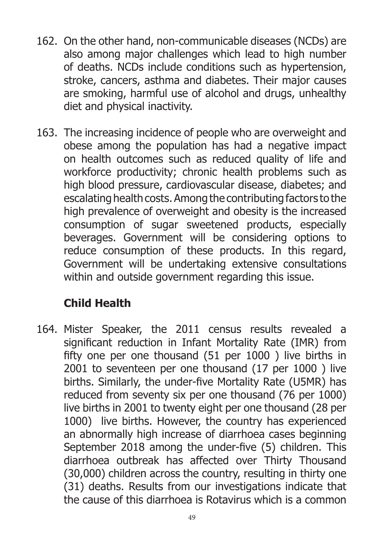- 162. On the other hand, non-communicable diseases (NCDs) are also among major challenges which lead to high number of deaths. NCDs include conditions such as hypertension, stroke, cancers, asthma and diabetes. Their major causes are smoking, harmful use of alcohol and drugs, unhealthy diet and physical inactivity.
- 163. The increasing incidence of people who are overweight and obese among the population has had a negative impact on health outcomes such as reduced quality of life and workforce productivity; chronic health problems such as high blood pressure, cardiovascular disease, diabetes; and escalating health costs. Among the contributing factors to the high prevalence of overweight and obesity is the increased consumption of sugar sweetened products, especially beverages. Government will be considering options to reduce consumption of these products. In this regard, Government will be undertaking extensive consultations within and outside government regarding this issue.

# **Child Health**

164. Mister Speaker, the 2011 census results revealed a significant reduction in Infant Mortality Rate (IMR) from fifty one per one thousand (51 per 1000 ) live births in 2001 to seventeen per one thousand (17 per 1000 ) live births. Similarly, the under-five Mortality Rate (U5MR) has reduced from seventy six per one thousand (76 per 1000) live births in 2001 to twenty eight per one thousand (28 per 1000) live births. However, the country has experienced an abnormally high increase of diarrhoea cases beginning September 2018 among the under-five (5) children. This diarrhoea outbreak has affected over Thirty Thousand (30,000) children across the country, resulting in thirty one (31) deaths. Results from our investigations indicate that the cause of this diarrhoea is Rotavirus which is a common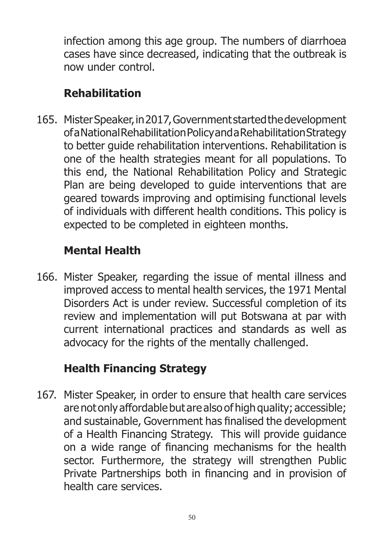infection among this age group. The numbers of diarrhoea cases have since decreased, indicating that the outbreak is now under control.

# **Rehabilitation**

165. Mister Speaker, in 2017, Government started the development of a National Rehabilitation Policy and a Rehabilitation Strategy to better guide rehabilitation interventions. Rehabilitation is one of the health strategies meant for all populations. To this end, the National Rehabilitation Policy and Strategic Plan are being developed to guide interventions that are geared towards improving and optimising functional levels of individuals with different health conditions. This policy is expected to be completed in eighteen months.

# **Mental Health**

166. Mister Speaker, regarding the issue of mental illness and improved access to mental health services, the 1971 Mental Disorders Act is under review. Successful completion of its review and implementation will put Botswana at par with current international practices and standards as well as advocacy for the rights of the mentally challenged.

# **Health Financing Strategy**

167. Mister Speaker, in order to ensure that health care services are not only affordable but are also of high quality; accessible; and sustainable, Government has finalised the development of a Health Financing Strategy. This will provide guidance on a wide range of financing mechanisms for the health sector. Furthermore, the strategy will strengthen Public Private Partnerships both in financing and in provision of health care services.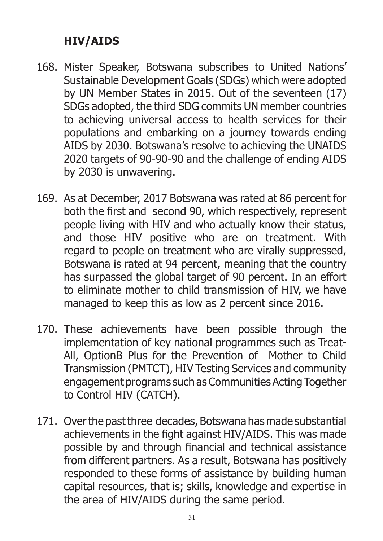## **HIV/AIDS**

- 168. Mister Speaker, Botswana subscribes to United Nations' Sustainable Development Goals (SDGs) which were adopted by UN Member States in 2015. Out of the seventeen (17) SDGs adopted, the third SDG commits UN member countries to achieving universal access to health services for their populations and embarking on a journey towards ending AIDS by 2030. Botswana's resolve to achieving the UNAIDS 2020 targets of 90-90-90 and the challenge of ending AIDS by 2030 is unwavering.
- 169. As at December, 2017 Botswana was rated at 86 percent for both the first and second 90, which respectively, represent people living with HIV and who actually know their status, and those HIV positive who are on treatment. With regard to people on treatment who are virally suppressed, Botswana is rated at 94 percent, meaning that the country has surpassed the global target of 90 percent. In an effort to eliminate mother to child transmission of HIV, we have managed to keep this as low as 2 percent since 2016.
- 170. These achievements have been possible through the implementation of key national programmes such as Treat-All, OptionB Plus for the Prevention of Mother to Child Transmission (PMTCT), HIV Testing Services and community engagement programs such as Communities Acting Together to Control HIV (CATCH).
- 171. Over the past three decades, Botswana has made substantial achievements in the fight against HIV/AIDS. This was made possible by and through financial and technical assistance from different partners. As a result, Botswana has positively responded to these forms of assistance by building human capital resources, that is; skills, knowledge and expertise in the area of HIV/AIDS during the same period.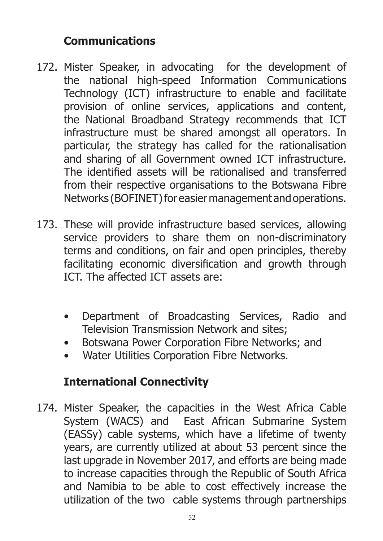### **Communications**

- 172. Mister Speaker, in advocating for the development of the national high-speed Information Communications Technology (ICT) infrastructure to enable and facilitate provision of online services, applications and content, the National Broadband Strategy recommends that ICT infrastructure must be shared amongst all operators. In particular, the strategy has called for the rationalisation and sharing of all Government owned ICT infrastructure. The identified assets will be rationalised and transferred from their respective organisations to the Botswana Fibre Networks (BOFINET) for easier management and operations.
- 173. These will provide infrastructure based services, allowing service providers to share them on non-discriminatory terms and conditions, on fair and open principles, thereby facilitating economic diversification and growth through ICT. The affected ICT assets are:
	- Department of Broadcasting Services, Radio and Television Transmission Network and sites;
	- Botswana Power Corporation Fibre Networks; and
	- Water Utilities Corporation Fibre Networks.

## **International Connectivity**

174. Mister Speaker, the capacities in the West Africa Cable System (WACS) and East African Submarine System (EASSy) cable systems, which have a lifetime of twenty years, are currently utilized at about 53 percent since the last upgrade in November 2017, and efforts are being made to increase capacities through the Republic of South Africa and Namibia to be able to cost effectively increase the utilization of the two cable systems through partnerships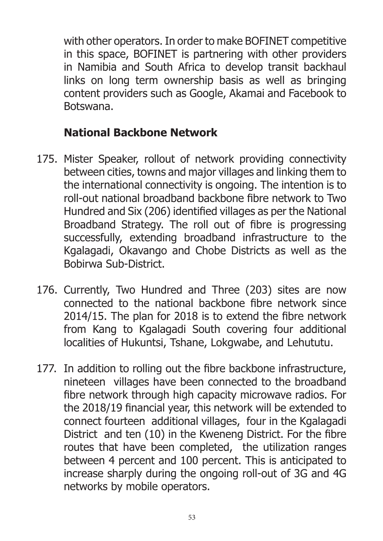with other operators. In order to make BOFINET competitive in this space, BOFINET is partnering with other providers in Namibia and South Africa to develop transit backhaul links on long term ownership basis as well as bringing content providers such as Google, Akamai and Facebook to Botswana.

## **National Backbone Network**

- 175. Mister Speaker, rollout of network providing connectivity between cities, towns and major villages and linking them to the international connectivity is ongoing. The intention is to roll-out national broadband backbone fibre network to Two Hundred and Six (206) identified villages as per the National Broadband Strategy. The roll out of fibre is progressing successfully, extending broadband infrastructure to the Kgalagadi, Okavango and Chobe Districts as well as the Bobirwa Sub-District.
- 176. Currently, Two Hundred and Three (203) sites are now connected to the national backbone fibre network since 2014/15. The plan for 2018 is to extend the fibre network from Kang to Kgalagadi South covering four additional localities of Hukuntsi, Tshane, Lokgwabe, and Lehututu.
- 177. In addition to rolling out the fibre backbone infrastructure, nineteen villages have been connected to the broadband fibre network through high capacity microwave radios. For the 2018/19 financial year, this network will be extended to connect fourteen additional villages, four in the Kgalagadi District and ten (10) in the Kweneng District. For the fibre routes that have been completed, the utilization ranges between 4 percent and 100 percent. This is anticipated to increase sharply during the ongoing roll-out of 3G and 4G networks by mobile operators.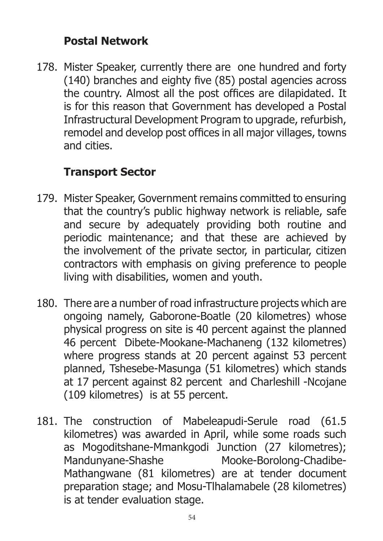### **Postal Network**

178. Mister Speaker, currently there are one hundred and forty (140) branches and eighty five (85) postal agencies across the country. Almost all the post offices are dilapidated. It is for this reason that Government has developed a Postal Infrastructural Development Program to upgrade, refurbish, remodel and develop post offices in all major villages, towns and cities.

# **Transport Sector**

- 179. Mister Speaker, Government remains committed to ensuring that the country's public highway network is reliable, safe and secure by adequately providing both routine and periodic maintenance; and that these are achieved by the involvement of the private sector, in particular, citizen contractors with emphasis on giving preference to people living with disabilities, women and youth.
- 180. There are a number of road infrastructure projects which are ongoing namely, Gaborone-Boatle (20 kilometres) whose physical progress on site is 40 percent against the planned 46 percent Dibete-Mookane-Machaneng (132 kilometres) where progress stands at 20 percent against 53 percent planned, Tshesebe-Masunga (51 kilometres) which stands at 17 percent against 82 percent and Charleshill -Ncojane (109 kilometres) is at 55 percent.
- 181. The construction of Mabeleapudi-Serule road (61.5 kilometres) was awarded in April, while some roads such as Mogoditshane-Mmankgodi Junction (27 kilometres); Mandunyane-Shashe Mooke-Borolong-Chadibe-Mathangwane (81 kilometres) are at tender document preparation stage; and Mosu-Tlhalamabele (28 kilometres) is at tender evaluation stage.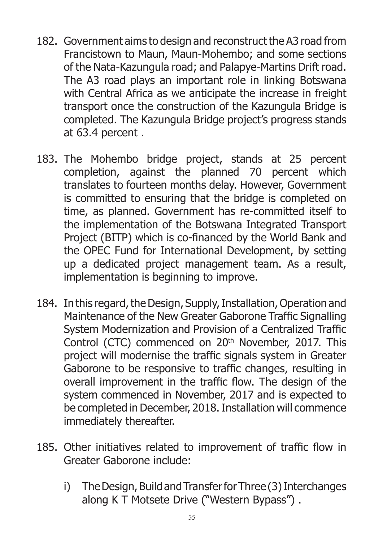- 182. Government aims to design and reconstruct the A3 road from Francistown to Maun, Maun-Mohembo; and some sections of the Nata-Kazungula road; and Palapye-Martins Drift road. The A3 road plays an important role in linking Botswana with Central Africa as we anticipate the increase in freight transport once the construction of the Kazungula Bridge is completed. The Kazungula Bridge project's progress stands at 63.4 percent .
- 183. The Mohembo bridge project, stands at 25 percent completion, against the planned 70 percent which translates to fourteen months delay. However, Government is committed to ensuring that the bridge is completed on time, as planned. Government has re-committed itself to the implementation of the Botswana Integrated Transport Project (BITP) which is co-financed by the World Bank and the OPEC Fund for International Development, by setting up a dedicated project management team. As a result, implementation is beginning to improve.
- 184. In this regard, the Design, Supply, Installation, Operation and Maintenance of the New Greater Gaborone Traffic Signalling System Modernization and Provision of a Centralized Traffic Control (CTC) commenced on 20<sup>th</sup> November, 2017. This project will modernise the traffic signals system in Greater Gaborone to be responsive to traffic changes, resulting in overall improvement in the traffic flow. The design of the system commenced in November, 2017 and is expected to be completed in December, 2018. Installation will commence immediately thereafter.
- 185. Other initiatives related to improvement of traffic flow in Greater Gaborone include:
	- i) The Design, Build and Transfer for Three (3) Interchanges along K T Motsete Drive ("Western Bypass") .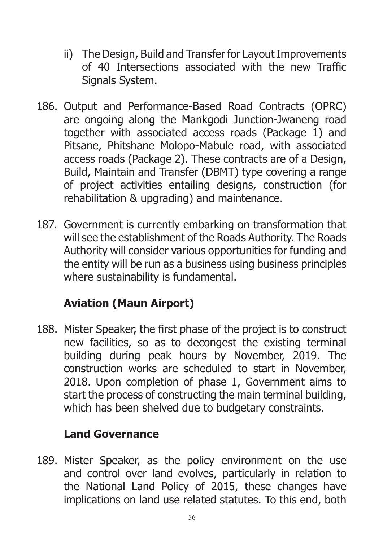- ii) The Design, Build and Transfer for Layout Improvements of 40 Intersections associated with the new Traffic Signals System.
- 186. Output and Performance-Based Road Contracts (OPRC) are ongoing along the Mankgodi Junction-Jwaneng road together with associated access roads (Package 1) and Pitsane, Phitshane Molopo-Mabule road, with associated access roads (Package 2). These contracts are of a Design, Build, Maintain and Transfer (DBMT) type covering a range of project activities entailing designs, construction (for rehabilitation & upgrading) and maintenance.
- 187. Government is currently embarking on transformation that will see the establishment of the Roads Authority. The Roads Authority will consider various opportunities for funding and the entity will be run as a business using business principles where sustainability is fundamental.

# **Aviation (Maun Airport)**

188. Mister Speaker, the first phase of the project is to construct new facilities, so as to decongest the existing terminal building during peak hours by November, 2019. The construction works are scheduled to start in November, 2018. Upon completion of phase 1, Government aims to start the process of constructing the main terminal building, which has been shelved due to budgetary constraints.

#### **Land Governance**

189. Mister Speaker, as the policy environment on the use and control over land evolves, particularly in relation to the National Land Policy of 2015, these changes have implications on land use related statutes. To this end, both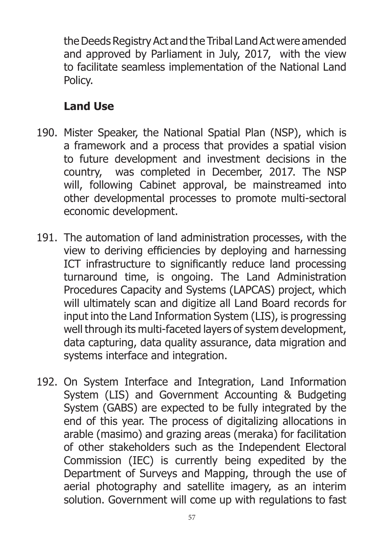the Deeds Registry Act and the Tribal Land Act were amended and approved by Parliament in July, 2017, with the view to facilitate seamless implementation of the National Land Policy.

## **Land Use**

- 190. Mister Speaker, the National Spatial Plan (NSP), which is a framework and a process that provides a spatial vision to future development and investment decisions in the country, was completed in December, 2017. The NSP will, following Cabinet approval, be mainstreamed into other developmental processes to promote multi-sectoral economic development.
- 191. The automation of land administration processes, with the view to deriving efficiencies by deploying and harnessing ICT infrastructure to significantly reduce land processing turnaround time, is ongoing. The Land Administration Procedures Capacity and Systems (LAPCAS) project, which will ultimately scan and digitize all Land Board records for input into the Land Information System (LIS), is progressing well through its multi-faceted layers of system development, data capturing, data quality assurance, data migration and systems interface and integration.
- 192. On System Interface and Integration, Land Information System (LIS) and Government Accounting & Budgeting System (GABS) are expected to be fully integrated by the end of this year. The process of digitalizing allocations in arable (masimo) and grazing areas (meraka) for facilitation of other stakeholders such as the Independent Electoral Commission (IEC) is currently being expedited by the Department of Surveys and Mapping, through the use of aerial photography and satellite imagery, as an interim solution. Government will come up with regulations to fast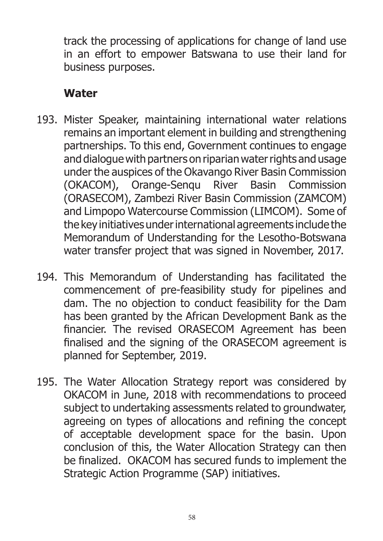track the processing of applications for change of land use in an effort to empower Batswana to use their land for business purposes.

## **Water**

- 193. Mister Speaker, maintaining international water relations remains an important element in building and strengthening partnerships. To this end, Government continues to engage and dialogue with partners on riparian water rights and usage under the auspices of the Okavango River Basin Commission (OKACOM), Orange-Senqu River Basin Commission (ORASECOM), Zambezi River Basin Commission (ZAMCOM) and Limpopo Watercourse Commission (LIMCOM). Some of the key initiatives under international agreements include the Memorandum of Understanding for the Lesotho-Botswana water transfer project that was signed in November, 2017.
- 194. This Memorandum of Understanding has facilitated the commencement of pre-feasibility study for pipelines and dam. The no objection to conduct feasibility for the Dam has been granted by the African Development Bank as the financier. The revised ORASECOM Agreement has been finalised and the signing of the ORASECOM agreement is planned for September, 2019.
- 195. The Water Allocation Strategy report was considered by OKACOM in June, 2018 with recommendations to proceed subject to undertaking assessments related to groundwater, agreeing on types of allocations and refining the concept of acceptable development space for the basin. Upon conclusion of this, the Water Allocation Strategy can then be finalized. OKACOM has secured funds to implement the Strategic Action Programme (SAP) initiatives.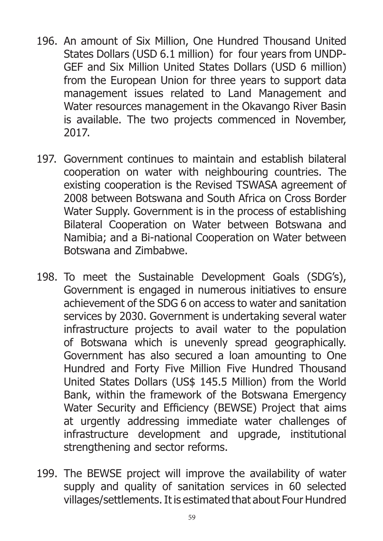- 196. An amount of Six Million, One Hundred Thousand United States Dollars (USD 6.1 million) for four years from UNDP-GEF and Six Million United States Dollars (USD 6 million) from the European Union for three years to support data management issues related to Land Management and Water resources management in the Okavango River Basin is available. The two projects commenced in November, 2017.
- 197. Government continues to maintain and establish bilateral cooperation on water with neighbouring countries. The existing cooperation is the Revised TSWASA agreement of 2008 between Botswana and South Africa on Cross Border Water Supply. Government is in the process of establishing Bilateral Cooperation on Water between Botswana and Namibia; and a Bi-national Cooperation on Water between Botswana and Zimbabwe.
- 198. To meet the Sustainable Development Goals (SDG's), Government is engaged in numerous initiatives to ensure achievement of the SDG 6 on access to water and sanitation services by 2030. Government is undertaking several water infrastructure projects to avail water to the population of Botswana which is unevenly spread geographically. Government has also secured a loan amounting to One Hundred and Forty Five Million Five Hundred Thousand United States Dollars (US\$ 145.5 Million) from the World Bank, within the framework of the Botswana Emergency Water Security and Efficiency (BEWSE) Project that aims at urgently addressing immediate water challenges of infrastructure development and upgrade, institutional strengthening and sector reforms.
- 199. The BEWSE project will improve the availability of water supply and quality of sanitation services in 60 selected villages/settlements. It is estimated that about Four Hundred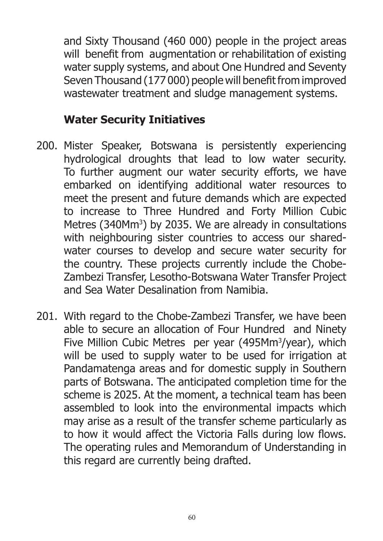and Sixty Thousand (460 000) people in the project areas will benefit from augmentation or rehabilitation of existing water supply systems, and about One Hundred and Seventy Seven Thousand (177 000) people will benefit from improved wastewater treatment and sludge management systems.

#### **Water Security Initiatives**

- 200. Mister Speaker, Botswana is persistently experiencing hydrological droughts that lead to low water security. To further augment our water security efforts, we have embarked on identifying additional water resources to meet the present and future demands which are expected to increase to Three Hundred and Forty Million Cubic Metres (340Mm<sup>3</sup>) by 2035. We are already in consultations with neighbouring sister countries to access our sharedwater courses to develop and secure water security for the country. These projects currently include the Chobe-Zambezi Transfer, Lesotho-Botswana Water Transfer Project and Sea Water Desalination from Namibia.
- 201. With regard to the Chobe-Zambezi Transfer, we have been able to secure an allocation of Four Hundred and Ninety Five Million Cubic Metres per year (495Mm<sup>3</sup>/year), which will be used to supply water to be used for irrigation at Pandamatenga areas and for domestic supply in Southern parts of Botswana. The anticipated completion time for the scheme is 2025. At the moment, a technical team has been assembled to look into the environmental impacts which may arise as a result of the transfer scheme particularly as to how it would affect the Victoria Falls during low flows. The operating rules and Memorandum of Understanding in this regard are currently being drafted.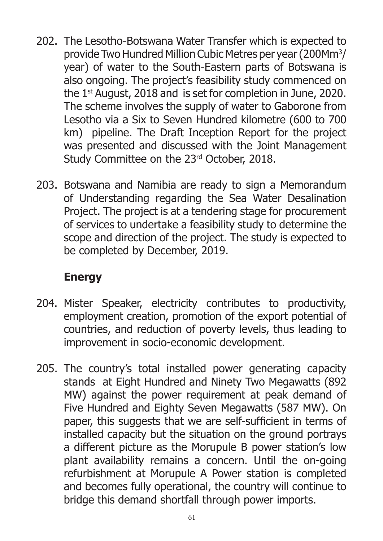- 202. The Lesotho-Botswana Water Transfer which is expected to provide Two Hundred Million Cubic Metres per year (200Mm<sup>3</sup> / year) of water to the South-Eastern parts of Botswana is also ongoing. The project's feasibility study commenced on the 1<sup>st</sup> August, 2018 and is set for completion in June, 2020. The scheme involves the supply of water to Gaborone from Lesotho via a Six to Seven Hundred kilometre (600 to 700 km) pipeline. The Draft Inception Report for the project was presented and discussed with the Joint Management Study Committee on the 23<sup>rd</sup> October, 2018.
- 203. Botswana and Namibia are ready to sign a Memorandum of Understanding regarding the Sea Water Desalination Project. The project is at a tendering stage for procurement of services to undertake a feasibility study to determine the scope and direction of the project. The study is expected to be completed by December, 2019.

## **Energy**

- 204. Mister Speaker, electricity contributes to productivity, employment creation, promotion of the export potential of countries, and reduction of poverty levels, thus leading to improvement in socio-economic development.
- 205. The country's total installed power generating capacity stands at Eight Hundred and Ninety Two Megawatts (892 MW) against the power requirement at peak demand of Five Hundred and Eighty Seven Megawatts (587 MW). On paper, this suggests that we are self-sufficient in terms of installed capacity but the situation on the ground portrays a different picture as the Morupule B power station's low plant availability remains a concern. Until the on-going refurbishment at Morupule A Power station is completed and becomes fully operational, the country will continue to bridge this demand shortfall through power imports.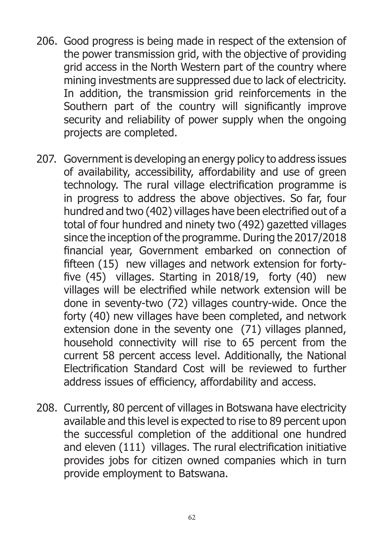- 206. Good progress is being made in respect of the extension of the power transmission grid, with the objective of providing grid access in the North Western part of the country where mining investments are suppressed due to lack of electricity. In addition, the transmission grid reinforcements in the Southern part of the country will significantly improve security and reliability of power supply when the ongoing projects are completed.
- 207. Government is developing an energy policy to address issues of availability, accessibility, affordability and use of green technology. The rural village electrification programme is in progress to address the above objectives. So far, four hundred and two (402) villages have been electrified out of a total of four hundred and ninety two (492) gazetted villages since the inception of the programme. During the 2017/2018 financial year, Government embarked on connection of fifteen (15) new villages and network extension for fortyfive (45) villages. Starting in 2018/19, forty (40) new villages will be electrified while network extension will be done in seventy-two (72) villages country-wide. Once the forty (40) new villages have been completed, and network extension done in the seventy one (71) villages planned, household connectivity will rise to 65 percent from the current 58 percent access level. Additionally, the National Electrification Standard Cost will be reviewed to further address issues of efficiency, affordability and access.
- 208. Currently, 80 percent of villages in Botswana have electricity available and this level is expected to rise to 89 percent upon the successful completion of the additional one hundred and eleven (111) villages. The rural electrification initiative provides jobs for citizen owned companies which in turn provide employment to Batswana.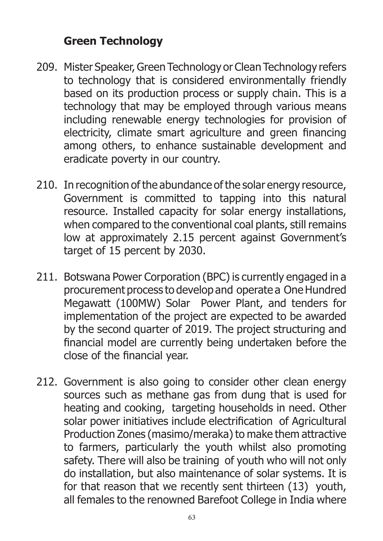#### **Green Technology**

- 209. Mister Speaker, Green Technology or Clean Technology refers to technology that is considered environmentally friendly based on its production process or supply chain. This is a technology that may be employed through various means including renewable energy technologies for provision of electricity, climate smart agriculture and green financing among others, to enhance sustainable development and eradicate poverty in our country.
- 210. In recognition of the abundance of the solar energy resource, Government is committed to tapping into this natural resource. Installed capacity for solar energy installations, when compared to the conventional coal plants, still remains low at approximately 2.15 percent against Government's target of 15 percent by 2030.
- 211. Botswana Power Corporation (BPC) is currently engaged in a procurement process to develop and operate a One Hundred Megawatt (100MW) Solar Power Plant, and tenders for implementation of the project are expected to be awarded by the second quarter of 2019. The project structuring and financial model are currently being undertaken before the close of the financial year.
- 212. Government is also going to consider other clean energy sources such as methane gas from dung that is used for heating and cooking, targeting households in need. Other solar power initiatives include electrification of Agricultural Production Zones (masimo/meraka) to make them attractive to farmers, particularly the youth whilst also promoting safety. There will also be training of youth who will not only do installation, but also maintenance of solar systems. It is for that reason that we recently sent thirteen (13) youth, all females to the renowned Barefoot College in India where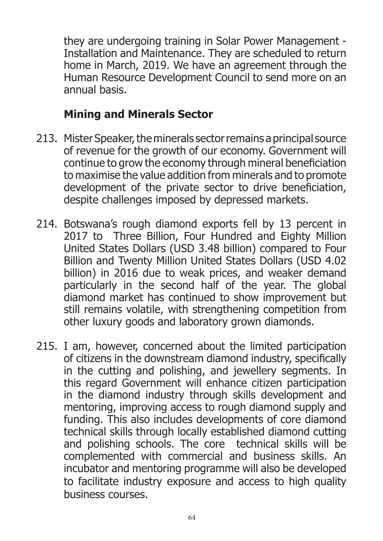they are undergoing training in Solar Power Management - Installation and Maintenance. They are scheduled to return home in March, 2019. We have an agreement through the Human Resource Development Council to send more on an annual basis.

#### **Mining and Minerals Sector**

- 213. Mister Speaker, the minerals sector remains a principal source of revenue for the growth of our economy. Government will continue to grow the economy through mineral beneficiation to maximise the value addition from minerals and to promote development of the private sector to drive beneficiation, despite challenges imposed by depressed markets.
- 214. Botswana's rough diamond exports fell by 13 percent in 2017 to Three Billion, Four Hundred and Eighty Million United States Dollars (USD 3.48 billion) compared to Four Billion and Twenty Million United States Dollars (USD 4.02 billion) in 2016 due to weak prices, and weaker demand particularly in the second half of the year. The global diamond market has continued to show improvement but still remains volatile, with strengthening competition from other luxury goods and laboratory grown diamonds.
- 215. I am, however, concerned about the limited participation of citizens in the downstream diamond industry, specifically in the cutting and polishing, and jewellery segments. In this regard Government will enhance citizen participation in the diamond industry through skills development and mentoring, improving access to rough diamond supply and funding. This also includes developments of core diamond technical skills through locally established diamond cutting and polishing schools. The core technical skills will be complemented with commercial and business skills. An incubator and mentoring programme will also be developed to facilitate industry exposure and access to high quality business courses.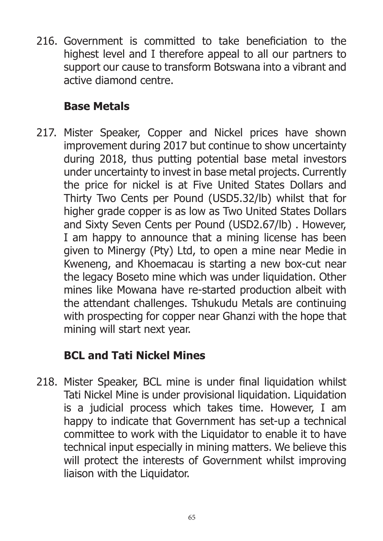216. Government is committed to take beneficiation to the highest level and I therefore appeal to all our partners to support our cause to transform Botswana into a vibrant and active diamond centre.

## **Base Metals**

217. Mister Speaker, Copper and Nickel prices have shown improvement during 2017 but continue to show uncertainty during 2018, thus putting potential base metal investors under uncertainty to invest in base metal projects. Currently the price for nickel is at Five United States Dollars and Thirty Two Cents per Pound (USD5.32/lb) whilst that for higher grade copper is as low as Two United States Dollars and Sixty Seven Cents per Pound (USD2.67/lb) . However, I am happy to announce that a mining license has been given to Minergy (Pty) Ltd, to open a mine near Medie in Kweneng, and Khoemacau is starting a new box-cut near the legacy Boseto mine which was under liquidation. Other mines like Mowana have re-started production albeit with the attendant challenges. Tshukudu Metals are continuing with prospecting for copper near Ghanzi with the hope that mining will start next year.

## **BCL and Tati Nickel Mines**

218. Mister Speaker, BCL mine is under final liquidation whilst Tati Nickel Mine is under provisional liquidation. Liquidation is a judicial process which takes time. However, I am happy to indicate that Government has set-up a technical committee to work with the Liquidator to enable it to have technical input especially in mining matters. We believe this will protect the interests of Government whilst improving liaison with the Liquidator.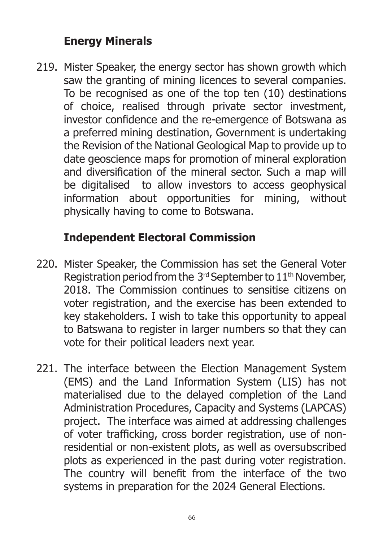## **Energy Minerals**

219. Mister Speaker, the energy sector has shown growth which saw the granting of mining licences to several companies. To be recognised as one of the top ten (10) destinations of choice, realised through private sector investment, investor confidence and the re-emergence of Botswana as a preferred mining destination, Government is undertaking the Revision of the National Geological Map to provide up to date geoscience maps for promotion of mineral exploration and diversification of the mineral sector. Such a map will be digitalised to allow investors to access geophysical information about opportunities for mining, without physically having to come to Botswana.

## **Independent Electoral Commission**

- 220. Mister Speaker, the Commission has set the General Voter Registration period from the 3<sup>rd</sup> September to 11<sup>th</sup> November, 2018. The Commission continues to sensitise citizens on voter registration, and the exercise has been extended to key stakeholders. I wish to take this opportunity to appeal to Batswana to register in larger numbers so that they can vote for their political leaders next year.
- 221. The interface between the Election Management System (EMS) and the Land Information System (LIS) has not materialised due to the delayed completion of the Land Administration Procedures, Capacity and Systems (LAPCAS) project. The interface was aimed at addressing challenges of voter trafficking, cross border registration, use of nonresidential or non-existent plots, as well as oversubscribed plots as experienced in the past during voter registration. The country will benefit from the interface of the two systems in preparation for the 2024 General Elections.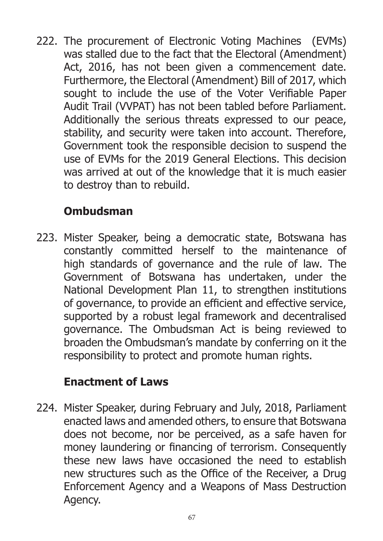222. The procurement of Electronic Voting Machines (EVMs) was stalled due to the fact that the Electoral (Amendment) Act, 2016, has not been given a commencement date. Furthermore, the Electoral (Amendment) Bill of 2017, which sought to include the use of the Voter Verifiable Paper Audit Trail (VVPAT) has not been tabled before Parliament. Additionally the serious threats expressed to our peace, stability, and security were taken into account. Therefore, Government took the responsible decision to suspend the use of EVMs for the 2019 General Elections. This decision was arrived at out of the knowledge that it is much easier to destroy than to rebuild.

# **Ombudsman**

223. Mister Speaker, being a democratic state, Botswana has constantly committed herself to the maintenance of high standards of governance and the rule of law. The Government of Botswana has undertaken, under the National Development Plan 11, to strengthen institutions of governance, to provide an efficient and effective service, supported by a robust legal framework and decentralised governance. The Ombudsman Act is being reviewed to broaden the Ombudsman's mandate by conferring on it the responsibility to protect and promote human rights.

## **Enactment of Laws**

224. Mister Speaker, during February and July, 2018, Parliament enacted laws and amended others, to ensure that Botswana does not become, nor be perceived, as a safe haven for money laundering or financing of terrorism. Consequently these new laws have occasioned the need to establish new structures such as the Office of the Receiver, a Drug Enforcement Agency and a Weapons of Mass Destruction Agency.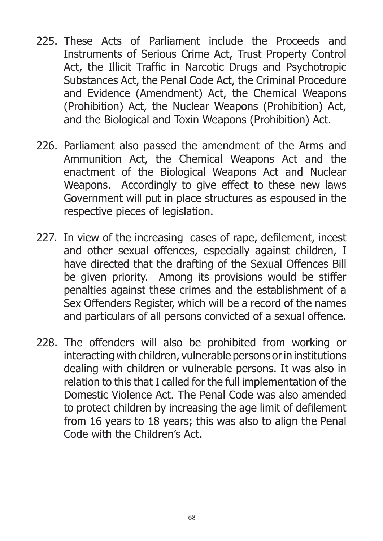- 225. These Acts of Parliament include the Proceeds and Instruments of Serious Crime Act, Trust Property Control Act, the Illicit Traffic in Narcotic Drugs and Psychotropic Substances Act, the Penal Code Act, the Criminal Procedure and Evidence (Amendment) Act, the Chemical Weapons (Prohibition) Act, the Nuclear Weapons (Prohibition) Act, and the Biological and Toxin Weapons (Prohibition) Act.
- 226. Parliament also passed the amendment of the Arms and Ammunition Act, the Chemical Weapons Act and the enactment of the Biological Weapons Act and Nuclear Weapons. Accordingly to give effect to these new laws Government will put in place structures as espoused in the respective pieces of legislation.
- 227. In view of the increasing cases of rape, defilement, incest and other sexual offences, especially against children, I have directed that the drafting of the Sexual Offences Bill be given priority. Among its provisions would be stiffer penalties against these crimes and the establishment of a Sex Offenders Register, which will be a record of the names and particulars of all persons convicted of a sexual offence.
- 228. The offenders will also be prohibited from working or interacting with children, vulnerable persons or in institutions dealing with children or vulnerable persons. It was also in relation to this that I called for the full implementation of the Domestic Violence Act. The Penal Code was also amended to protect children by increasing the age limit of defilement from 16 years to 18 years; this was also to align the Penal Code with the Children's Act.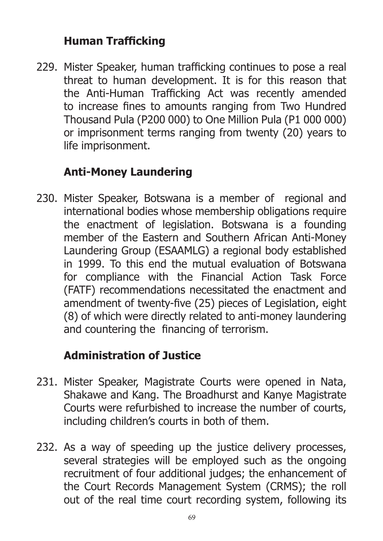# **Human Trafficking**

229. Mister Speaker, human trafficking continues to pose a real threat to human development. It is for this reason that the Anti-Human Trafficking Act was recently amended to increase fines to amounts ranging from Two Hundred Thousand Pula (P200 000) to One Million Pula (P1 000 000) or imprisonment terms ranging from twenty (20) years to life imprisonment.

## **Anti-Money Laundering**

230. Mister Speaker, Botswana is a member of regional and international bodies whose membership obligations require the enactment of legislation. Botswana is a founding member of the Eastern and Southern African Anti-Money Laundering Group (ESAAMLG) a regional body established in 1999. To this end the mutual evaluation of Botswana for compliance with the Financial Action Task Force (FATF) recommendations necessitated the enactment and amendment of twenty-five (25) pieces of Legislation, eight (8) of which were directly related to anti-money laundering and countering the financing of terrorism.

## **Administration of Justice**

- 231. Mister Speaker, Magistrate Courts were opened in Nata, Shakawe and Kang. The Broadhurst and Kanye Magistrate Courts were refurbished to increase the number of courts, including children's courts in both of them.
- 232. As a way of speeding up the justice delivery processes, several strategies will be employed such as the ongoing recruitment of four additional judges; the enhancement of the Court Records Management System (CRMS); the roll out of the real time court recording system, following its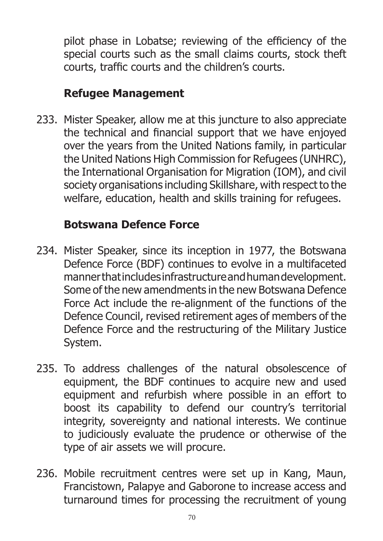pilot phase in Lobatse; reviewing of the efficiency of the special courts such as the small claims courts, stock theft courts, traffic courts and the children's courts.

## **Refugee Management**

233. Mister Speaker, allow me at this juncture to also appreciate the technical and financial support that we have enjoyed over the years from the United Nations family, in particular the United Nations High Commission for Refugees (UNHRC), the International Organisation for Migration (IOM), and civil society organisations including Skillshare, with respect to the welfare, education, health and skills training for refugees.

## **Botswana Defence Force**

- 234. Mister Speaker, since its inception in 1977, the Botswana Defence Force (BDF) continues to evolve in a multifaceted manner that includes infrastructure and human development. Some of the new amendments in the new Botswana Defence Force Act include the re-alignment of the functions of the Defence Council, revised retirement ages of members of the Defence Force and the restructuring of the Military Justice System.
- 235. To address challenges of the natural obsolescence of equipment, the BDF continues to acquire new and used equipment and refurbish where possible in an effort to boost its capability to defend our country's territorial integrity, sovereignty and national interests. We continue to judiciously evaluate the prudence or otherwise of the type of air assets we will procure.
- 236. Mobile recruitment centres were set up in Kang, Maun, Francistown, Palapye and Gaborone to increase access and turnaround times for processing the recruitment of young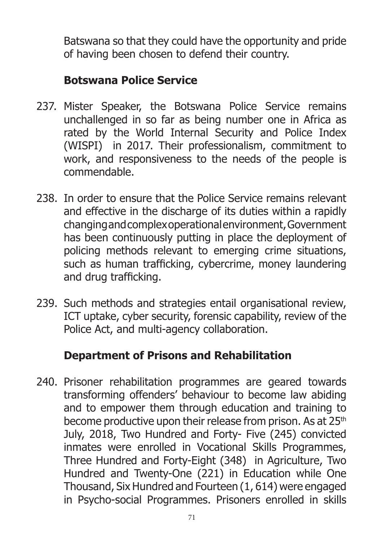Batswana so that they could have the opportunity and pride of having been chosen to defend their country.

## **Botswana Police Service**

- 237. Mister Speaker, the Botswana Police Service remains unchallenged in so far as being number one in Africa as rated by the World Internal Security and Police Index (WISPI) in 2017. Their professionalism, commitment to work, and responsiveness to the needs of the people is commendable.
- 238. In order to ensure that the Police Service remains relevant and effective in the discharge of its duties within a rapidly changing and complex operational environment, Government has been continuously putting in place the deployment of policing methods relevant to emerging crime situations, such as human trafficking, cybercrime, money laundering and drug trafficking.
- 239. Such methods and strategies entail organisational review, ICT uptake, cyber security, forensic capability, review of the Police Act, and multi-agency collaboration.

## **Department of Prisons and Rehabilitation**

240. Prisoner rehabilitation programmes are geared towards transforming offenders' behaviour to become law abiding and to empower them through education and training to become productive upon their release from prison. As at 25<sup>th</sup> July, 2018, Two Hundred and Forty- Five (245) convicted inmates were enrolled in Vocational Skills Programmes, Three Hundred and Forty-Eight (348) in Agriculture, Two Hundred and Twenty-One (221) in Education while One Thousand, Six Hundred and Fourteen (1, 614) were engaged in Psycho-social Programmes. Prisoners enrolled in skills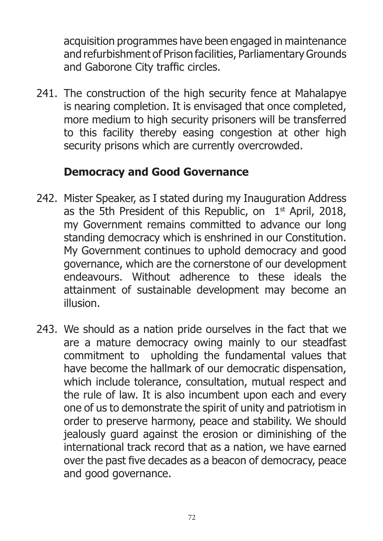acquisition programmes have been engaged in maintenance and refurbishment of Prison facilities, Parliamentary Grounds and Gaborone City traffic circles.

241. The construction of the high security fence at Mahalapye is nearing completion. It is envisaged that once completed, more medium to high security prisoners will be transferred to this facility thereby easing congestion at other high security prisons which are currently overcrowded.

### **Democracy and Good Governance**

- 242. Mister Speaker, as I stated during my Inauguration Address as the 5th President of this Republic, on  $1<sup>st</sup>$  April, 2018, my Government remains committed to advance our long standing democracy which is enshrined in our Constitution. My Government continues to uphold democracy and good governance, which are the cornerstone of our development endeavours. Without adherence to these ideals the attainment of sustainable development may become an illusion.
- 243. We should as a nation pride ourselves in the fact that we are a mature democracy owing mainly to our steadfast commitment to upholding the fundamental values that have become the hallmark of our democratic dispensation, which include tolerance, consultation, mutual respect and the rule of law. It is also incumbent upon each and every one of us to demonstrate the spirit of unity and patriotism in order to preserve harmony, peace and stability. We should jealously guard against the erosion or diminishing of the international track record that as a nation, we have earned over the past five decades as a beacon of democracy, peace and good governance.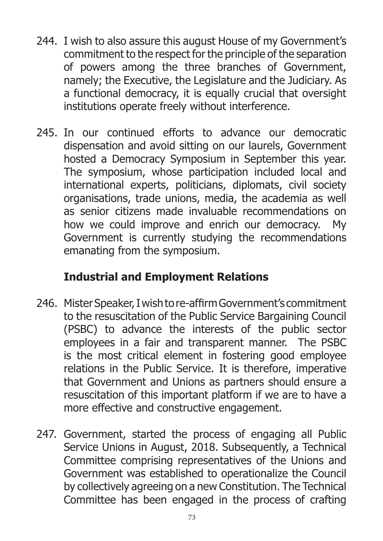- 244. I wish to also assure this august House of my Government's commitment to the respect for the principle of the separation of powers among the three branches of Government, namely; the Executive, the Legislature and the Judiciary. As a functional democracy, it is equally crucial that oversight institutions operate freely without interference.
- 245. In our continued efforts to advance our democratic dispensation and avoid sitting on our laurels, Government hosted a Democracy Symposium in September this year. The symposium, whose participation included local and international experts, politicians, diplomats, civil society organisations, trade unions, media, the academia as well as senior citizens made invaluable recommendations on how we could improve and enrich our democracy. My Government is currently studying the recommendations emanating from the symposium.

## **Industrial and Employment Relations**

- 246. Mister Speaker, I wish to re-affirm Government's commitment to the resuscitation of the Public Service Bargaining Council (PSBC) to advance the interests of the public sector employees in a fair and transparent manner. The PSBC is the most critical element in fostering good employee relations in the Public Service. It is therefore, imperative that Government and Unions as partners should ensure a resuscitation of this important platform if we are to have a more effective and constructive engagement.
- 247. Government, started the process of engaging all Public Service Unions in August, 2018. Subsequently, a Technical Committee comprising representatives of the Unions and Government was established to operationalize the Council by collectively agreeing on a new Constitution. The Technical Committee has been engaged in the process of crafting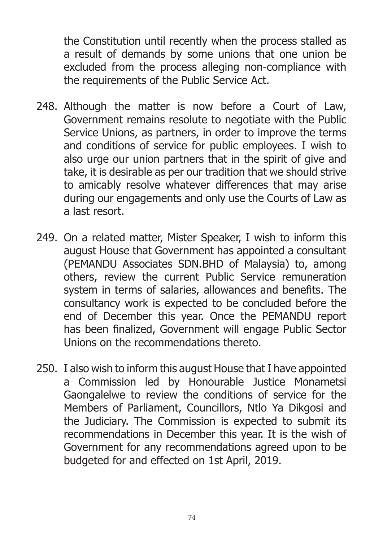the Constitution until recently when the process stalled as a result of demands by some unions that one union be excluded from the process alleging non-compliance with the requirements of the Public Service Act.

- 248. Although the matter is now before a Court of Law, Government remains resolute to negotiate with the Public Service Unions, as partners, in order to improve the terms and conditions of service for public employees. I wish to also urge our union partners that in the spirit of give and take, it is desirable as per our tradition that we should strive to amicably resolve whatever differences that may arise during our engagements and only use the Courts of Law as a last resort.
- 249. On a related matter, Mister Speaker, I wish to inform this august House that Government has appointed a consultant (PEMANDU Associates SDN.BHD of Malaysia) to, among others, review the current Public Service remuneration system in terms of salaries, allowances and benefits. The consultancy work is expected to be concluded before the end of December this year. Once the PEMANDU report has been finalized, Government will engage Public Sector Unions on the recommendations thereto.
- 250. I also wish to inform this august House that I have appointed a Commission led by Honourable Justice Monametsi Gaongalelwe to review the conditions of service for the Members of Parliament, Councillors, Ntlo Ya Dikgosi and the Judiciary. The Commission is expected to submit its recommendations in December this year. It is the wish of Government for any recommendations agreed upon to be budgeted for and effected on 1st April, 2019.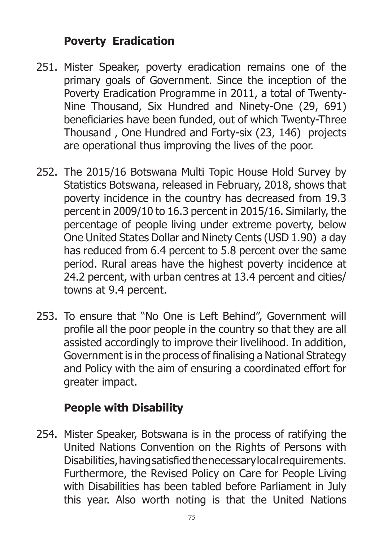### **Poverty Eradication**

- 251. Mister Speaker, poverty eradication remains one of the primary goals of Government. Since the inception of the Poverty Eradication Programme in 2011, a total of Twenty-Nine Thousand, Six Hundred and Ninety-One (29, 691) beneficiaries have been funded, out of which Twenty-Three Thousand , One Hundred and Forty-six (23, 146) projects are operational thus improving the lives of the poor.
- 252. The 2015/16 Botswana Multi Topic House Hold Survey by Statistics Botswana, released in February, 2018, shows that poverty incidence in the country has decreased from 19.3 percent in 2009/10 to 16.3 percent in 2015/16. Similarly, the percentage of people living under extreme poverty, below One United States Dollar and Ninety Cents (USD 1.90) a day has reduced from 6.4 percent to 5.8 percent over the same period. Rural areas have the highest poverty incidence at 24.2 percent, with urban centres at 13.4 percent and cities/ towns at 9.4 percent.
- 253. To ensure that "No One is Left Behind", Government will profile all the poor people in the country so that they are all assisted accordingly to improve their livelihood. In addition, Government is in the process of finalising a National Strategy and Policy with the aim of ensuring a coordinated effort for greater impact.

## **People with Disability**

254. Mister Speaker, Botswana is in the process of ratifying the United Nations Convention on the Rights of Persons with Disabilities, having satisfied the necessary local requirements. Furthermore, the Revised Policy on Care for People Living with Disabilities has been tabled before Parliament in July this year. Also worth noting is that the United Nations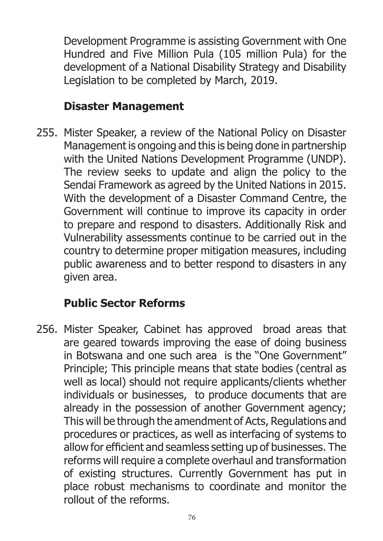Development Programme is assisting Government with One Hundred and Five Million Pula (105 million Pula) for the development of a National Disability Strategy and Disability Legislation to be completed by March, 2019.

#### **Disaster Management**

255. Mister Speaker, a review of the National Policy on Disaster Management is ongoing and this is being done in partnership with the United Nations Development Programme (UNDP). The review seeks to update and align the policy to the Sendai Framework as agreed by the United Nations in 2015. With the development of a Disaster Command Centre, the Government will continue to improve its capacity in order to prepare and respond to disasters. Additionally Risk and Vulnerability assessments continue to be carried out in the country to determine proper mitigation measures, including public awareness and to better respond to disasters in any given area.

### **Public Sector Reforms**

256. Mister Speaker, Cabinet has approved broad areas that are geared towards improving the ease of doing business in Botswana and one such area is the "One Government" Principle; This principle means that state bodies (central as well as local) should not require applicants/clients whether individuals or businesses, to produce documents that are already in the possession of another Government agency; This will be through the amendment of Acts, Regulations and procedures or practices, as well as interfacing of systems to allow for efficient and seamless setting up of businesses. The reforms will require a complete overhaul and transformation of existing structures. Currently Government has put in place robust mechanisms to coordinate and monitor the rollout of the reforms.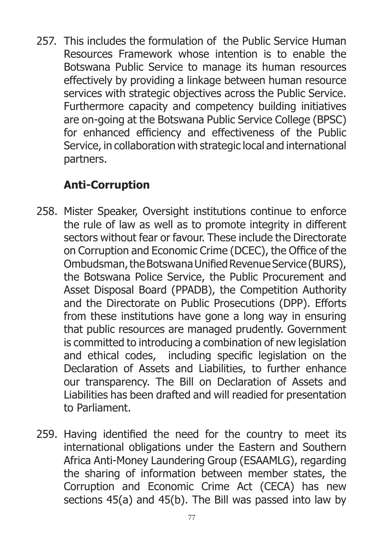257. This includes the formulation of the Public Service Human Resources Framework whose intention is to enable the Botswana Public Service to manage its human resources effectively by providing a linkage between human resource services with strategic objectives across the Public Service. Furthermore capacity and competency building initiatives are on-going at the Botswana Public Service College (BPSC) for enhanced efficiency and effectiveness of the Public Service, in collaboration with strategic local and international partners.

## **Anti-Corruption**

- 258. Mister Speaker, Oversight institutions continue to enforce the rule of law as well as to promote integrity in different sectors without fear or favour. These include the Directorate on Corruption and Economic Crime (DCEC), the Office of the Ombudsman, the Botswana Unified Revenue Service (BURS), the Botswana Police Service, the Public Procurement and Asset Disposal Board (PPADB), the Competition Authority and the Directorate on Public Prosecutions (DPP). Efforts from these institutions have gone a long way in ensuring that public resources are managed prudently. Government is committed to introducing a combination of new legislation and ethical codes, including specific legislation on the Declaration of Assets and Liabilities, to further enhance our transparency. The Bill on Declaration of Assets and Liabilities has been drafted and will readied for presentation to Parliament.
- 259. Having identified the need for the country to meet its international obligations under the Eastern and Southern Africa Anti-Money Laundering Group (ESAAMLG), regarding the sharing of information between member states, the Corruption and Economic Crime Act (CECA) has new sections 45(a) and 45(b). The Bill was passed into law by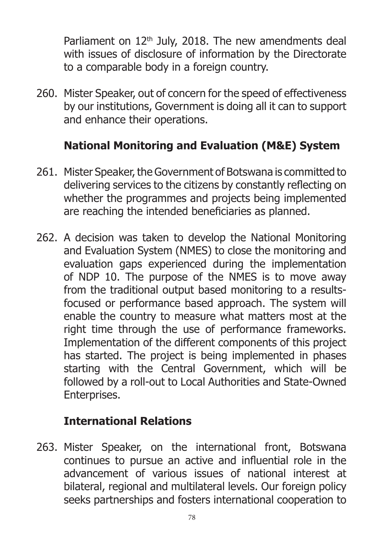Parliament on  $12<sup>th</sup>$  July, 2018. The new amendments deal with issues of disclosure of information by the Directorate to a comparable body in a foreign country.

260. Mister Speaker, out of concern for the speed of effectiveness by our institutions, Government is doing all it can to support and enhance their operations.

# **National Monitoring and Evaluation (M&E) System**

- 261. Mister Speaker, the Government of Botswana is committed to delivering services to the citizens by constantly reflecting on whether the programmes and projects being implemented are reaching the intended beneficiaries as planned.
- 262. A decision was taken to develop the National Monitoring and Evaluation System (NMES) to close the monitoring and evaluation gaps experienced during the implementation of NDP 10. The purpose of the NMES is to move away from the traditional output based monitoring to a resultsfocused or performance based approach. The system will enable the country to measure what matters most at the right time through the use of performance frameworks. Implementation of the different components of this project has started. The project is being implemented in phases starting with the Central Government, which will be followed by a roll-out to Local Authorities and State-Owned Enterprises.

### **International Relations**

263. Mister Speaker, on the international front, Botswana continues to pursue an active and influential role in the advancement of various issues of national interest at bilateral, regional and multilateral levels. Our foreign policy seeks partnerships and fosters international cooperation to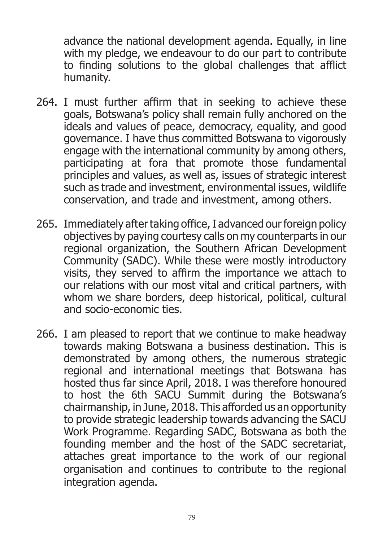advance the national development agenda. Equally, in line with my pledge, we endeavour to do our part to contribute to finding solutions to the global challenges that afflict humanity.

- 264. I must further affirm that in seeking to achieve these goals, Botswana's policy shall remain fully anchored on the ideals and values of peace, democracy, equality, and good governance. I have thus committed Botswana to vigorously engage with the international community by among others, participating at fora that promote those fundamental principles and values, as well as, issues of strategic interest such as trade and investment, environmental issues, wildlife conservation, and trade and investment, among others.
- 265. Immediately after taking office, I advanced our foreign policy objectives by paying courtesy calls on my counterparts in our regional organization, the Southern African Development Community (SADC). While these were mostly introductory visits, they served to affirm the importance we attach to our relations with our most vital and critical partners, with whom we share borders, deep historical, political, cultural and socio-economic ties.
- 266. I am pleased to report that we continue to make headway towards making Botswana a business destination. This is demonstrated by among others, the numerous strategic regional and international meetings that Botswana has hosted thus far since April, 2018. I was therefore honoured to host the 6th SACU Summit during the Botswana's chairmanship, in June, 2018. This afforded us an opportunity to provide strategic leadership towards advancing the SACU Work Programme. Regarding SADC, Botswana as both the founding member and the host of the SADC secretariat, attaches great importance to the work of our regional organisation and continues to contribute to the regional integration agenda.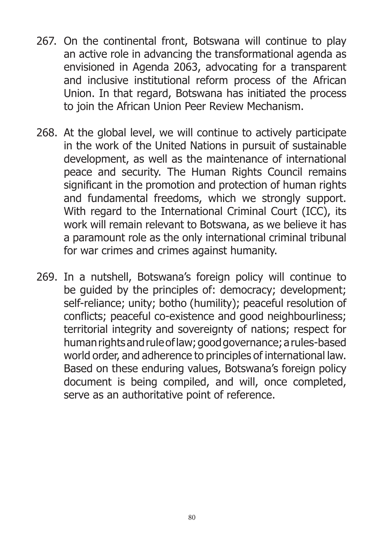- 267. On the continental front, Botswana will continue to play an active role in advancing the transformational agenda as envisioned in Agenda 2063, advocating for a transparent and inclusive institutional reform process of the African Union. In that regard, Botswana has initiated the process to join the African Union Peer Review Mechanism.
- 268. At the global level, we will continue to actively participate in the work of the United Nations in pursuit of sustainable development, as well as the maintenance of international peace and security. The Human Rights Council remains significant in the promotion and protection of human rights and fundamental freedoms, which we strongly support. With regard to the International Criminal Court (ICC), its work will remain relevant to Botswana, as we believe it has a paramount role as the only international criminal tribunal for war crimes and crimes against humanity.
- 269. In a nutshell, Botswana's foreign policy will continue to be guided by the principles of: democracy; development; self-reliance; unity; botho (humility); peaceful resolution of conflicts; peaceful co-existence and good neighbourliness; territorial integrity and sovereignty of nations; respect for human rights and rule of law; good governance; a rules-based world order, and adherence to principles of international law. Based on these enduring values, Botswana's foreign policy document is being compiled, and will, once completed, serve as an authoritative point of reference.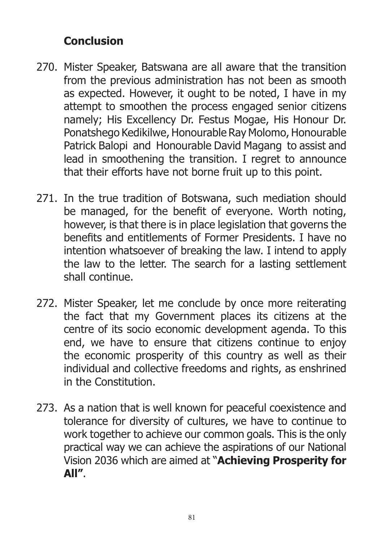#### **Conclusion**

- 270. Mister Speaker, Batswana are all aware that the transition from the previous administration has not been as smooth as expected. However, it ought to be noted, I have in my attempt to smoothen the process engaged senior citizens namely; His Excellency Dr. Festus Mogae, His Honour Dr. Ponatshego Kedikilwe, Honourable Ray Molomo, Honourable Patrick Balopi and Honourable David Magang to assist and lead in smoothening the transition. I regret to announce that their efforts have not borne fruit up to this point.
- 271. In the true tradition of Botswana, such mediation should be managed, for the benefit of everyone. Worth noting, however, is that there is in place legislation that governs the benefits and entitlements of Former Presidents. I have no intention whatsoever of breaking the law. I intend to apply the law to the letter. The search for a lasting settlement shall continue.
- 272. Mister Speaker, let me conclude by once more reiterating the fact that my Government places its citizens at the centre of its socio economic development agenda. To this end, we have to ensure that citizens continue to enjoy the economic prosperity of this country as well as their individual and collective freedoms and rights, as enshrined in the Constitution.
- 273. As a nation that is well known for peaceful coexistence and tolerance for diversity of cultures, we have to continue to work together to achieve our common goals. This is the only practical way we can achieve the aspirations of our National Vision 2036 which are aimed at "**Achieving Prosperity for All"**.